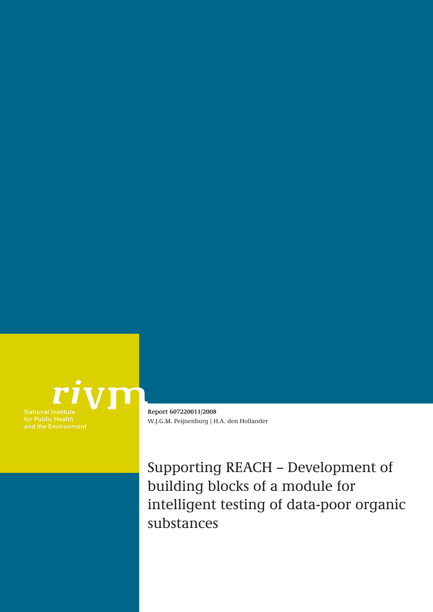

and the Environment

**Report 607220011/2008** W.J.G.M. Peijnenburg | H.A. den Hollander

Supporting REACH – Development of building blocks of a module for intelligent testing of data-poor organic substances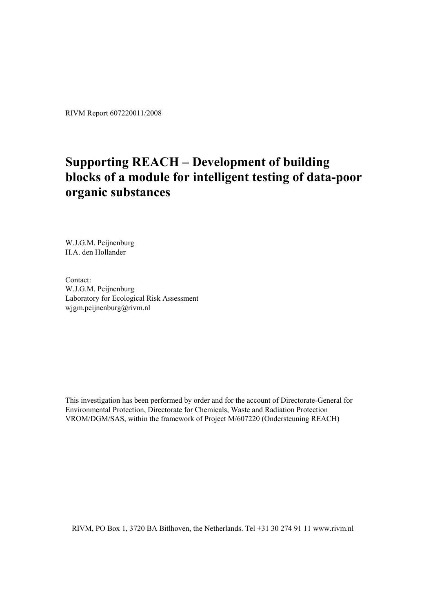RIVM Report 607220011/2008

## **Supporting REACH – Development of building blocks of a module for intelligent testing of data-poor organic substances**

W.J.G.M. Peijnenburg H.A. den Hollander

Contact: W.J.G.M. Peijnenburg Laboratory for Ecological Risk Assessment wjgm.peijnenburg@rivm.nl

This investigation has been performed by order and for the account of Directorate-General for Environmental Protection, Directorate for Chemicals, Waste and Radiation Protection VROM/DGM/SAS, within the framework of Project M/607220 (Ondersteuning REACH)

RIVM, PO Box 1, 3720 BA Bitlhoven, the Netherlands. Tel +31 30 274 91 11 www.rivm.nl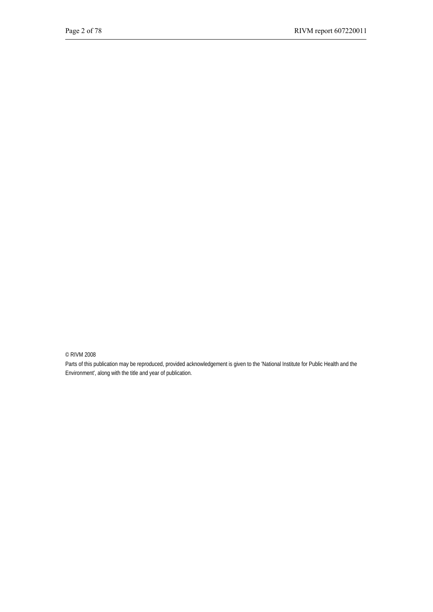© RIVM 2008

Parts of this publication may be reproduced, provided acknowledgement is given to the 'National Institute for Public Health and the Environment', along with the title and year of publication.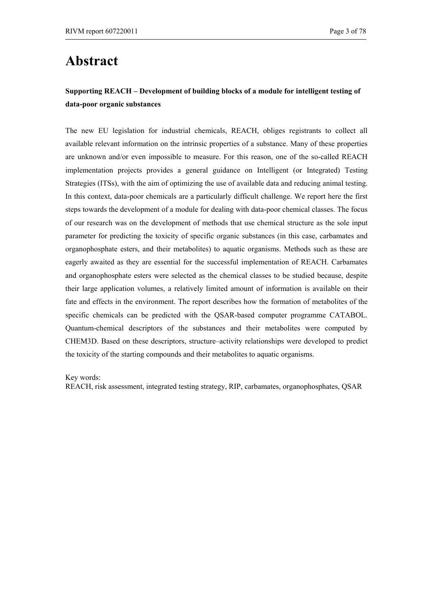## **Abstract**

### **Supporting REACH – Development of building blocks of a module for intelligent testing of data-poor organic substances**

The new EU legislation for industrial chemicals, REACH, obliges registrants to collect all available relevant information on the intrinsic properties of a substance. Many of these properties are unknown and/or even impossible to measure. For this reason, one of the so-called REACH implementation projects provides a general guidance on Intelligent (or Integrated) Testing Strategies (ITSs), with the aim of optimizing the use of available data and reducing animal testing. In this context, data-poor chemicals are a particularly difficult challenge. We report here the first steps towards the development of a module for dealing with data-poor chemical classes. The focus of our research was on the development of methods that use chemical structure as the sole input parameter for predicting the toxicity of specific organic substances (in this case, carbamates and organophosphate esters, and their metabolites) to aquatic organisms. Methods such as these are eagerly awaited as they are essential for the successful implementation of REACH. Carbamates and organophosphate esters were selected as the chemical classes to be studied because, despite their large application volumes, a relatively limited amount of information is available on their fate and effects in the environment. The report describes how the formation of metabolites of the specific chemicals can be predicted with the QSAR-based computer programme CATABOL. Quantum-chemical descriptors of the substances and their metabolites were computed by CHEM3D. Based on these descriptors, structure–activity relationships were developed to predict the toxicity of the starting compounds and their metabolites to aquatic organisms.

Key words:

REACH, risk assessment, integrated testing strategy, RIP, carbamates, organophosphates, QSAR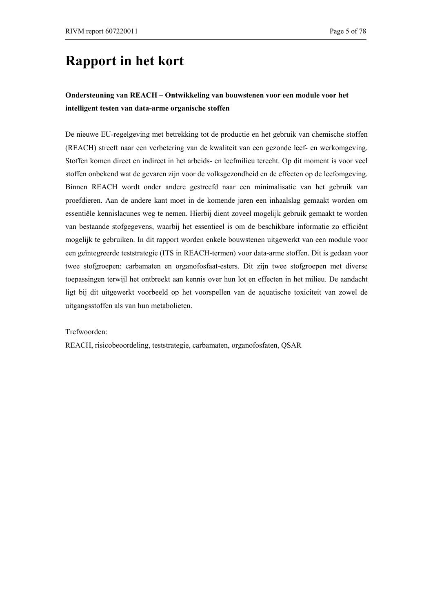## **Rapport in het kort**

### **Ondersteuning van REACH – Ontwikkeling van bouwstenen voor een module voor het intelligent testen van data-arme organische stoffen**

De nieuwe EU-regelgeving met betrekking tot de productie en het gebruik van chemische stoffen (REACH) streeft naar een verbetering van de kwaliteit van een gezonde leef- en werkomgeving. Stoffen komen direct en indirect in het arbeids- en leefmilieu terecht. Op dit moment is voor veel stoffen onbekend wat de gevaren zijn voor de volksgezondheid en de effecten op de leefomgeving. Binnen REACH wordt onder andere gestreefd naar een minimalisatie van het gebruik van proefdieren. Aan de andere kant moet in de komende jaren een inhaalslag gemaakt worden om essentiële kennislacunes weg te nemen. Hierbij dient zoveel mogelijk gebruik gemaakt te worden van bestaande stofgegevens, waarbij het essentieel is om de beschikbare informatie zo efficiënt mogelijk te gebruiken. In dit rapport worden enkele bouwstenen uitgewerkt van een module voor een geïntegreerde teststrategie (ITS in REACH-termen) voor data-arme stoffen. Dit is gedaan voor twee stofgroepen: carbamaten en organofosfaat-esters. Dit zijn twee stofgroepen met diverse toepassingen terwijl het ontbreekt aan kennis over hun lot en effecten in het milieu. De aandacht ligt bij dit uitgewerkt voorbeeld op het voorspellen van de aquatische toxiciteit van zowel de uitgangsstoffen als van hun metabolieten.

Trefwoorden:

REACH, risicobeoordeling, teststrategie, carbamaten, organofosfaten, QSAR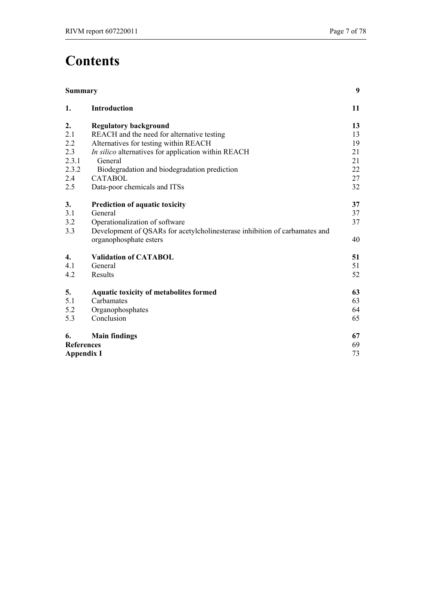# **Contents**

| <b>Summary</b>    |                                                                            | 9  |
|-------------------|----------------------------------------------------------------------------|----|
| 1.                | <b>Introduction</b>                                                        | 11 |
| 2.                | <b>Regulatory background</b>                                               | 13 |
| 2.1               | REACH and the need for alternative testing                                 | 13 |
| 2.2               | Alternatives for testing within REACH                                      | 19 |
| 2.3               | In silico alternatives for application within REACH                        | 21 |
| 2.3.1             | General                                                                    | 21 |
| 2.3.2             | Biodegradation and biodegradation prediction                               | 22 |
| 2.4               | <b>CATABOL</b>                                                             | 27 |
| 2.5               | Data-poor chemicals and ITSs                                               | 32 |
| 3.                | Prediction of aquatic toxicity                                             | 37 |
| 3.1               | General                                                                    | 37 |
| 3.2               | Operationalization of software                                             | 37 |
| 3.3               | Development of QSARs for acetylcholinesterase inhibition of carbamates and |    |
|                   | organophosphate esters                                                     | 40 |
| 4.                | <b>Validation of CATABOL</b>                                               | 51 |
| 4.1               | General                                                                    | 51 |
| 4.2               | Results                                                                    | 52 |
| 5.                | <b>Aquatic toxicity of metabolites formed</b>                              | 63 |
| 5.1               | Carbamates                                                                 | 63 |
| 5.2               | Organophosphates                                                           | 64 |
| 5.3               | Conclusion                                                                 | 65 |
| 6.                | <b>Main findings</b>                                                       | 67 |
| <b>References</b> |                                                                            | 69 |
| <b>Appendix I</b> |                                                                            | 73 |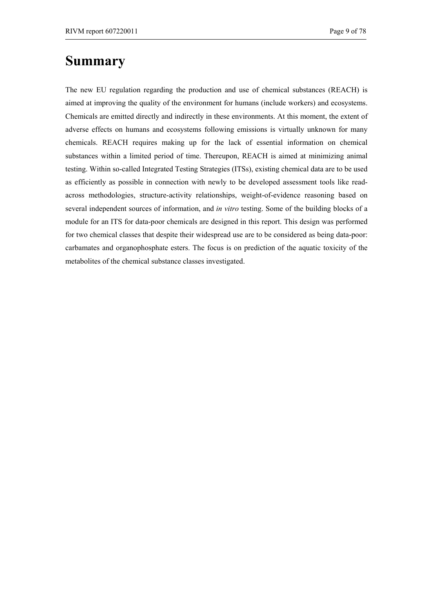## **Summary**

The new EU regulation regarding the production and use of chemical substances (REACH) is aimed at improving the quality of the environment for humans (include workers) and ecosystems. Chemicals are emitted directly and indirectly in these environments. At this moment, the extent of adverse effects on humans and ecosystems following emissions is virtually unknown for many chemicals. REACH requires making up for the lack of essential information on chemical substances within a limited period of time. Thereupon, REACH is aimed at minimizing animal testing. Within so-called Integrated Testing Strategies (ITSs), existing chemical data are to be used as efficiently as possible in connection with newly to be developed assessment tools like readacross methodologies, structure-activity relationships, weight-of-evidence reasoning based on several independent sources of information, and *in vitro* testing. Some of the building blocks of a module for an ITS for data-poor chemicals are designed in this report. This design was performed for two chemical classes that despite their widespread use are to be considered as being data-poor: carbamates and organophosphate esters. The focus is on prediction of the aquatic toxicity of the metabolites of the chemical substance classes investigated.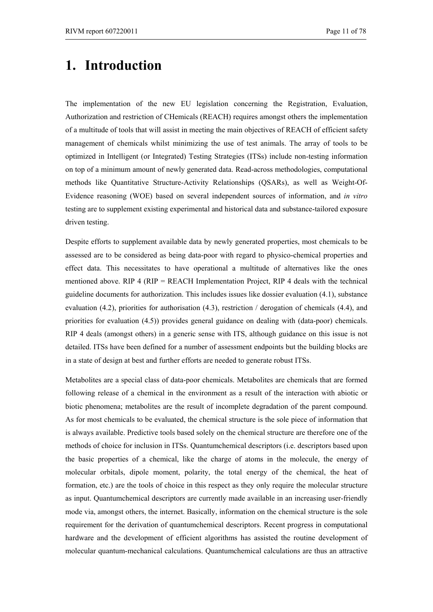# **1. Introduction**

The implementation of the new EU legislation concerning the Registration, Evaluation, Authorization and restriction of CHemicals (REACH) requires amongst others the implementation of a multitude of tools that will assist in meeting the main objectives of REACH of efficient safety management of chemicals whilst minimizing the use of test animals. The array of tools to be optimized in Intelligent (or Integrated) Testing Strategies (ITSs) include non-testing information on top of a minimum amount of newly generated data. Read-across methodologies, computational methods like Quantitative Structure-Activity Relationships (QSARs), as well as Weight-Of-Evidence reasoning (WOE) based on several independent sources of information, and *in vitro* testing are to supplement existing experimental and historical data and substance-tailored exposure driven testing.

Despite efforts to supplement available data by newly generated properties, most chemicals to be assessed are to be considered as being data-poor with regard to physico-chemical properties and effect data. This necessitates to have operational a multitude of alternatives like the ones mentioned above. RIP 4 ( $RIP = REACH$  Implementation Project, RIP 4 deals with the technical guideline documents for authorization. This includes issues like dossier evaluation (4.1), substance evaluation (4.2), priorities for authorisation (4.3), restriction / derogation of chemicals (4.4), and priorities for evaluation (4.5)) provides general guidance on dealing with (data-poor) chemicals. RIP 4 deals (amongst others) in a generic sense with ITS, although guidance on this issue is not detailed. ITSs have been defined for a number of assessment endpoints but the building blocks are in a state of design at best and further efforts are needed to generate robust ITSs.

Metabolites are a special class of data-poor chemicals. Metabolites are chemicals that are formed following release of a chemical in the environment as a result of the interaction with abiotic or biotic phenomena; metabolites are the result of incomplete degradation of the parent compound. As for most chemicals to be evaluated, the chemical structure is the sole piece of information that is always available. Predictive tools based solely on the chemical structure are therefore one of the methods of choice for inclusion in ITSs. Quantumchemical descriptors (i.e. descriptors based upon the basic properties of a chemical, like the charge of atoms in the molecule, the energy of molecular orbitals, dipole moment, polarity, the total energy of the chemical, the heat of formation, etc.) are the tools of choice in this respect as they only require the molecular structure as input. Quantumchemical descriptors are currently made available in an increasing user-friendly mode via, amongst others, the internet. Basically, information on the chemical structure is the sole requirement for the derivation of quantumchemical descriptors. Recent progress in computational hardware and the development of efficient algorithms has assisted the routine development of molecular quantum-mechanical calculations. Quantumchemical calculations are thus an attractive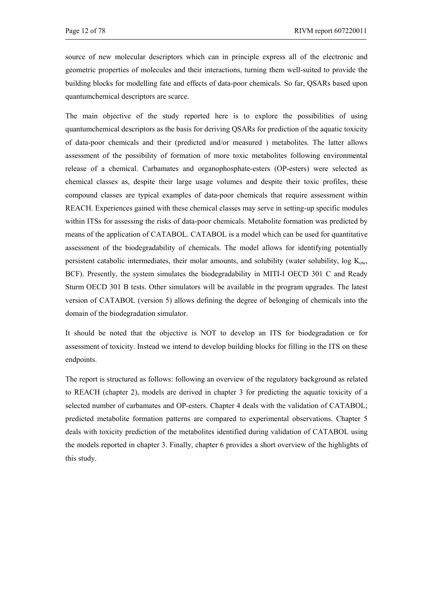source of new molecular descriptors which can in principle express all of the electronic and geometric properties of molecules and their interactions, turning them well-suited to provide the building blocks for modelling fate and effects of data-poor chemicals. So far, QSARs based upon quantumchemical descriptors are scarce.

The main objective of the study reported here is to explore the possibilities of using quantumchemical descriptors as the basis for deriving QSARs for prediction of the aquatic toxicity of data-poor chemicals and their (predicted and/or measured ) metabolites. The latter allows assessment of the possibility of formation of more toxic metabolites following environmental release of a chemical. Carbamates and organophosphate-esters (OP-esters) were selected as chemical classes as, despite their large usage volumes and despite their toxic profiles, these compound classes are typical examples of data-poor chemicals that require assessment within REACH. Experiences gained with these chemical classes may serve in setting-up specific modules within ITSs for assessing the risks of data-poor chemicals. Metabolite formation was predicted by means of the application of CATABOL. CATABOL is a model which can be used for quantitative assessment of the biodegradability of chemicals. The model allows for identifying potentially persistent catabolic intermediates, their molar amounts, and solubility (water solubility, log  $K_{ow}$ , BCF). Presently, the system simulates the biodegradability in MITI-I OECD 301 C and Ready Sturm OECD 301 B tests. Other simulators will be available in the program upgrades. The latest version of CATABOL (version 5) allows defining the degree of belonging of chemicals into the domain of the biodegradation simulator.

It should be noted that the objective is NOT to develop an ITS for biodegradation or for assessment of toxicity. Instead we intend to develop building blocks for filling in the ITS on these endpoints.

The report is structured as follows: following an overview of the regulatory background as related to REACH (chapter 2), models are derived in chapter 3 for predicting the aquatic toxicity of a selected number of carbamates and OP-esters. Chapter 4 deals with the validation of CATABOL; predicted metabolite formation patterns are compared to experimental observations. Chapter 5 deals with toxicity prediction of the metabolites identified during validation of CATABOL using the models reported in chapter 3. Finally, chapter 6 provides a short overview of the highlights of this study.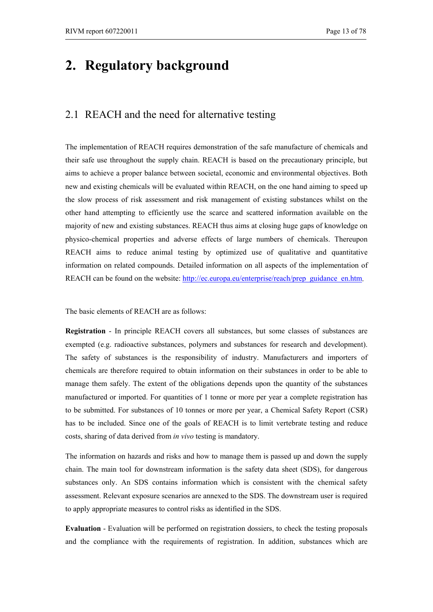## **2. Regulatory background**

### 2.1 REACH and the need for alternative testing

The implementation of REACH requires demonstration of the safe manufacture of chemicals and their safe use throughout the supply chain. REACH is based on the precautionary principle, but aims to achieve a proper balance between societal, economic and environmental objectives. Both new and existing chemicals will be evaluated within REACH, on the one hand aiming to speed up the slow process of risk assessment and risk management of existing substances whilst on the other hand attempting to efficiently use the scarce and scattered information available on the majority of new and existing substances. REACH thus aims at closing huge gaps of knowledge on physico-chemical properties and adverse effects of large numbers of chemicals. Thereupon REACH aims to reduce animal testing by optimized use of qualitative and quantitative information on related compounds. Detailed information on all aspects of the implementation of REACH can be found on the website: http://ec.europa.eu/enterprise/reach/prep\_guidance\_en.htm.

The basic elements of REACH are as follows:

**Registration** - In principle REACH covers all substances, but some classes of substances are exempted (e.g. radioactive substances, polymers and substances for research and development). The safety of substances is the responsibility of industry. Manufacturers and importers of chemicals are therefore required to obtain information on their substances in order to be able to manage them safely. The extent of the obligations depends upon the quantity of the substances manufactured or imported. For quantities of 1 tonne or more per year a complete registration has to be submitted. For substances of 10 tonnes or more per year, a Chemical Safety Report (CSR) has to be included. Since one of the goals of REACH is to limit vertebrate testing and reduce costs, sharing of data derived from *in vivo* testing is mandatory.

The information on hazards and risks and how to manage them is passed up and down the supply chain. The main tool for downstream information is the safety data sheet (SDS), for dangerous substances only. An SDS contains information which is consistent with the chemical safety assessment. Relevant exposure scenarios are annexed to the SDS. The downstream user is required to apply appropriate measures to control risks as identified in the SDS.

**Evaluation** - Evaluation will be performed on registration dossiers, to check the testing proposals and the compliance with the requirements of registration. In addition, substances which are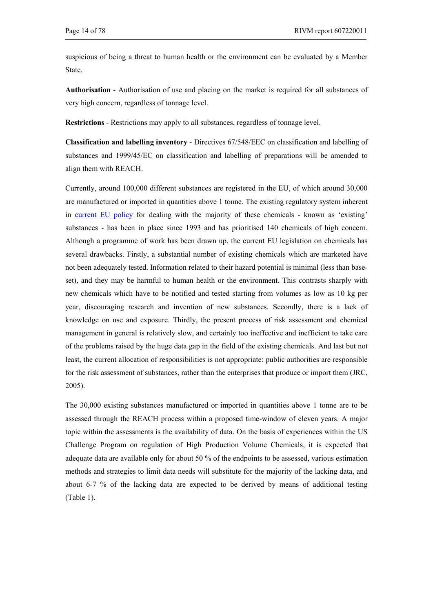suspicious of being a threat to human health or the environment can be evaluated by a Member State.

**Authorisation** - Authorisation of use and placing on the market is required for all substances of very high concern, regardless of tonnage level.

**Restrictions** - Restrictions may apply to all substances, regardless of tonnage level.

**Classification and labelling inventory** - Directives 67/548/EEC on classification and labelling of substances and 1999/45/EC on classification and labelling of preparations will be amended to align them with REACH.

Currently, around 100,000 different substances are registered in the EU, of which around 30,000 are manufactured or imported in quantities above 1 tonne. The existing regulatory system inherent in current EU policy for dealing with the majority of these chemicals - known as 'existing' substances - has been in place since 1993 and has prioritised 140 chemicals of high concern. Although a programme of work has been drawn up, the current EU legislation on chemicals has several drawbacks. Firstly, a substantial number of existing chemicals which are marketed have not been adequately tested. Information related to their hazard potential is minimal (less than baseset), and they may be harmful to human health or the environment. This contrasts sharply with new chemicals which have to be notified and tested starting from volumes as low as 10 kg per year, discouraging research and invention of new substances. Secondly, there is a lack of knowledge on use and exposure. Thirdly, the present process of risk assessment and chemical management in general is relatively slow, and certainly too ineffective and inefficient to take care of the problems raised by the huge data gap in the field of the existing chemicals. And last but not least, the current allocation of responsibilities is not appropriate: public authorities are responsible for the risk assessment of substances, rather than the enterprises that produce or import them (JRC, 2005).

The 30,000 existing substances manufactured or imported in quantities above 1 tonne are to be assessed through the REACH process within a proposed time-window of eleven years. A major topic within the assessments is the availability of data. On the basis of experiences within the US Challenge Program on regulation of High Production Volume Chemicals, it is expected that adequate data are available only for about 50 % of the endpoints to be assessed, various estimation methods and strategies to limit data needs will substitute for the majority of the lacking data, and about 6-7 % of the lacking data are expected to be derived by means of additional testing (Table 1).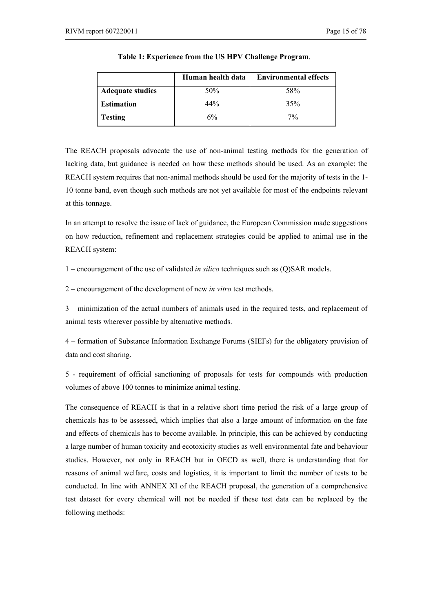|                         | Human health data | <b>Environmental effects</b> |
|-------------------------|-------------------|------------------------------|
| <b>Adequate studies</b> | 50%               | 58%                          |
| <b>Estimation</b>       | 44%               | 35%                          |
| <b>Testing</b>          | 6%                | $7\%$                        |

**Table 1: Experience from the US HPV Challenge Program**.

The REACH proposals advocate the use of non-animal testing methods for the generation of lacking data, but guidance is needed on how these methods should be used. As an example: the REACH system requires that non-animal methods should be used for the majority of tests in the 1- 10 tonne band, even though such methods are not yet available for most of the endpoints relevant at this tonnage.

In an attempt to resolve the issue of lack of guidance, the European Commission made suggestions on how reduction, refinement and replacement strategies could be applied to animal use in the REACH system:

1 – encouragement of the use of validated *in silico* techniques such as (Q)SAR models.

2 – encouragement of the development of new *in vitro* test methods.

3 – minimization of the actual numbers of animals used in the required tests, and replacement of animal tests wherever possible by alternative methods.

4 – formation of Substance Information Exchange Forums (SIEFs) for the obligatory provision of data and cost sharing.

5 - requirement of official sanctioning of proposals for tests for compounds with production volumes of above 100 tonnes to minimize animal testing.

The consequence of REACH is that in a relative short time period the risk of a large group of chemicals has to be assessed, which implies that also a large amount of information on the fate and effects of chemicals has to become available. In principle, this can be achieved by conducting a large number of human toxicity and ecotoxicity studies as well environmental fate and behaviour studies. However, not only in REACH but in OECD as well, there is understanding that for reasons of animal welfare, costs and logistics, it is important to limit the number of tests to be conducted. In line with ANNEX XI of the REACH proposal, the generation of a comprehensive test dataset for every chemical will not be needed if these test data can be replaced by the following methods: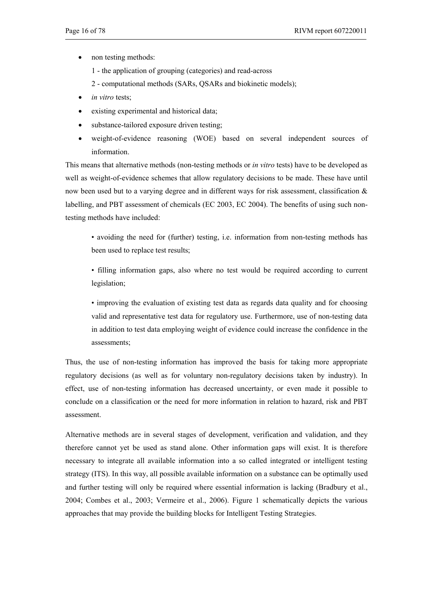- non testing methods:
	- 1 the application of grouping (categories) and read-across
	- 2 computational methods (SARs, QSARs and biokinetic models);
- in vitro tests;
- existing experimental and historical data;
- substance-tailored exposure driven testing;
- weight-of-evidence reasoning (WOE) based on several independent sources of information.

This means that alternative methods (non-testing methods or *in vitro* tests) have to be developed as well as weight-of-evidence schemes that allow regulatory decisions to be made. These have until now been used but to a varying degree and in different ways for risk assessment, classification  $\&$ labelling, and PBT assessment of chemicals (EC 2003, EC 2004). The benefits of using such nontesting methods have included:

• avoiding the need for (further) testing, i.e. information from non-testing methods has been used to replace test results;

• filling information gaps, also where no test would be required according to current legislation;

• improving the evaluation of existing test data as regards data quality and for choosing valid and representative test data for regulatory use. Furthermore, use of non-testing data in addition to test data employing weight of evidence could increase the confidence in the assessments;

Thus, the use of non-testing information has improved the basis for taking more appropriate regulatory decisions (as well as for voluntary non-regulatory decisions taken by industry). In effect, use of non-testing information has decreased uncertainty, or even made it possible to conclude on a classification or the need for more information in relation to hazard, risk and PBT assessment.

Alternative methods are in several stages of development, verification and validation, and they therefore cannot yet be used as stand alone. Other information gaps will exist. It is therefore necessary to integrate all available information into a so called integrated or intelligent testing strategy (ITS). In this way, all possible available information on a substance can be optimally used and further testing will only be required where essential information is lacking (Bradbury et al., 2004; Combes et al., 2003; Vermeire et al., 2006). Figure 1 schematically depicts the various approaches that may provide the building blocks for Intelligent Testing Strategies.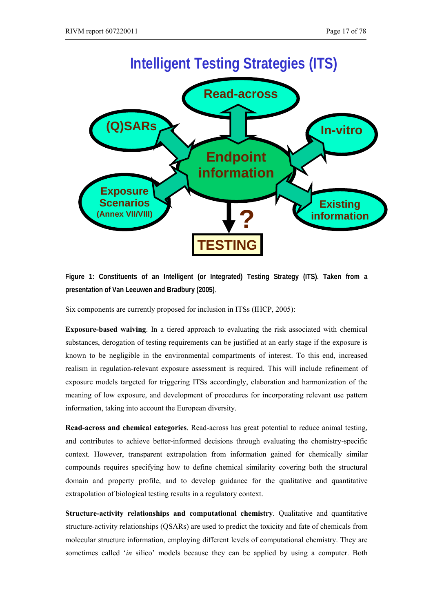

**Figure 1: Constituents of an Intelligent (or Integrated) Testing Strategy (ITS). Taken from a presentation of Van Leeuwen and Bradbury (2005)**.

Six components are currently proposed for inclusion in ITSs (IHCP, 2005):

**Exposure-based waiving**. In a tiered approach to evaluating the risk associated with chemical substances, derogation of testing requirements can be justified at an early stage if the exposure is known to be negligible in the environmental compartments of interest. To this end, increased realism in regulation-relevant exposure assessment is required. This will include refinement of exposure models targeted for triggering ITSs accordingly, elaboration and harmonization of the meaning of low exposure, and development of procedures for incorporating relevant use pattern information, taking into account the European diversity.

**Read-across and chemical categories**. Read-across has great potential to reduce animal testing, and contributes to achieve better-informed decisions through evaluating the chemistry-specific context. However, transparent extrapolation from information gained for chemically similar compounds requires specifying how to define chemical similarity covering both the structural domain and property profile, and to develop guidance for the qualitative and quantitative extrapolation of biological testing results in a regulatory context.

**Structure-activity relationships and computational chemistry**. Qualitative and quantitative structure-activity relationships (QSARs) are used to predict the toxicity and fate of chemicals from molecular structure information, employing different levels of computational chemistry. They are sometimes called '*in* silico' models because they can be applied by using a computer. Both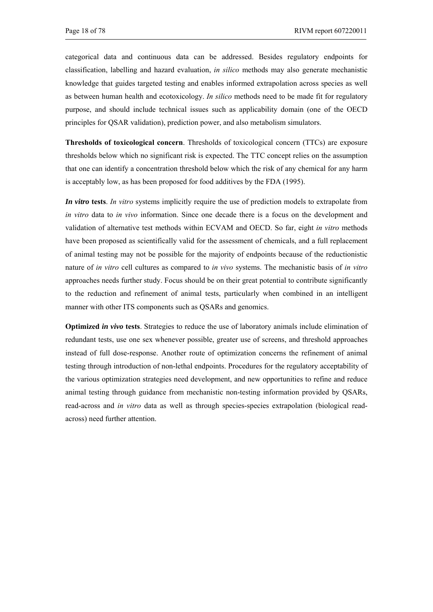categorical data and continuous data can be addressed. Besides regulatory endpoints for classification, labelling and hazard evaluation, *in silico* methods may also generate mechanistic knowledge that guides targeted testing and enables informed extrapolation across species as well as between human health and ecotoxicology. *In silico* methods need to be made fit for regulatory purpose, and should include technical issues such as applicability domain (one of the OECD principles for QSAR validation), prediction power, and also metabolism simulators.

**Thresholds of toxicological concern**. Thresholds of toxicological concern (TTCs) are exposure thresholds below which no significant risk is expected. The TTC concept relies on the assumption that one can identify a concentration threshold below which the risk of any chemical for any harm is acceptably low, as has been proposed for food additives by the FDA (1995).

*In vitro* **tests**. *In vitro* systems implicitly require the use of prediction models to extrapolate from *in vitro* data to *in vivo* information. Since one decade there is a focus on the development and validation of alternative test methods within ECVAM and OECD. So far, eight *in vitro* methods have been proposed as scientifically valid for the assessment of chemicals, and a full replacement of animal testing may not be possible for the majority of endpoints because of the reductionistic nature of *in vitro* cell cultures as compared to *in vivo* systems. The mechanistic basis of *in vitro* approaches needs further study. Focus should be on their great potential to contribute significantly to the reduction and refinement of animal tests, particularly when combined in an intelligent manner with other ITS components such as QSARs and genomics.

**Optimized** *in vivo* **tests**. Strategies to reduce the use of laboratory animals include elimination of redundant tests, use one sex whenever possible, greater use of screens, and threshold approaches instead of full dose-response. Another route of optimization concerns the refinement of animal testing through introduction of non-lethal endpoints. Procedures for the regulatory acceptability of the various optimization strategies need development, and new opportunities to refine and reduce animal testing through guidance from mechanistic non-testing information provided by QSARs, read-across and *in vitro* data as well as through species-species extrapolation (biological readacross) need further attention.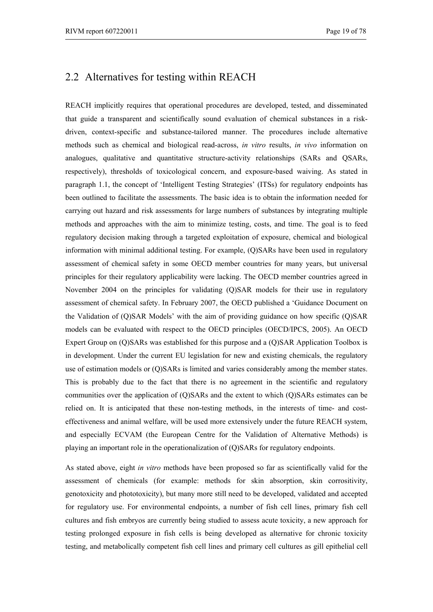## 2.2 Alternatives for testing within REACH

REACH implicitly requires that operational procedures are developed, tested, and disseminated that guide a transparent and scientifically sound evaluation of chemical substances in a riskdriven, context-specific and substance-tailored manner. The procedures include alternative methods such as chemical and biological read-across, *in vitro* results, *in vivo* information on analogues, qualitative and quantitative structure-activity relationships (SARs and QSARs, respectively), thresholds of toxicological concern, and exposure-based waiving. As stated in paragraph 1.1, the concept of 'Intelligent Testing Strategies' (ITSs) for regulatory endpoints has been outlined to facilitate the assessments. The basic idea is to obtain the information needed for carrying out hazard and risk assessments for large numbers of substances by integrating multiple methods and approaches with the aim to minimize testing, costs, and time. The goal is to feed regulatory decision making through a targeted exploitation of exposure, chemical and biological information with minimal additional testing. For example, (Q)SARs have been used in regulatory assessment of chemical safety in some OECD member countries for many years, but universal principles for their regulatory applicability were lacking. The OECD member countries agreed in November 2004 on the principles for validating (Q)SAR models for their use in regulatory assessment of chemical safety. In February 2007, the OECD published a 'Guidance Document on the Validation of (Q)SAR Models' with the aim of providing guidance on how specific (Q)SAR models can be evaluated with respect to the OECD principles (OECD/IPCS, 2005). An OECD Expert Group on (Q)SARs was established for this purpose and a (Q)SAR Application Toolbox is in development. Under the current EU legislation for new and existing chemicals, the regulatory use of estimation models or (Q)SARs is limited and varies considerably among the member states. This is probably due to the fact that there is no agreement in the scientific and regulatory communities over the application of (Q)SARs and the extent to which (Q)SARs estimates can be relied on. It is anticipated that these non-testing methods, in the interests of time- and costeffectiveness and animal welfare, will be used more extensively under the future REACH system, and especially ECVAM (the European Centre for the Validation of Alternative Methods) is playing an important role in the operationalization of (Q)SARs for regulatory endpoints.

As stated above, eight *in vitro* methods have been proposed so far as scientifically valid for the assessment of chemicals (for example: methods for skin absorption, skin corrositivity, genotoxicity and phototoxicity), but many more still need to be developed, validated and accepted for regulatory use. For environmental endpoints, a number of fish cell lines, primary fish cell cultures and fish embryos are currently being studied to assess acute toxicity, a new approach for testing prolonged exposure in fish cells is being developed as alternative for chronic toxicity testing, and metabolically competent fish cell lines and primary cell cultures as gill epithelial cell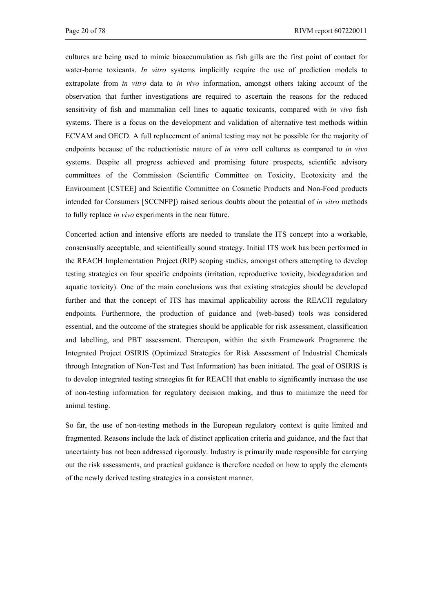cultures are being used to mimic bioaccumulation as fish gills are the first point of contact for water-borne toxicants. *In vitro* systems implicitly require the use of prediction models to extrapolate from *in vitro* data to *in vivo* information, amongst others taking account of the observation that further investigations are required to ascertain the reasons for the reduced sensitivity of fish and mammalian cell lines to aquatic toxicants, compared with *in vivo* fish systems. There is a focus on the development and validation of alternative test methods within ECVAM and OECD. A full replacement of animal testing may not be possible for the majority of endpoints because of the reductionistic nature of *in vitro* cell cultures as compared to *in vivo* systems. Despite all progress achieved and promising future prospects, scientific advisory committees of the Commission (Scientific Committee on Toxicity, Ecotoxicity and the Environment [CSTEE] and Scientific Committee on Cosmetic Products and Non-Food products intended for Consumers [SCCNFP]) raised serious doubts about the potential of *in vitro* methods to fully replace *in vivo* experiments in the near future.

Concerted action and intensive efforts are needed to translate the ITS concept into a workable, consensually acceptable, and scientifically sound strategy. Initial ITS work has been performed in the REACH Implementation Project (RIP) scoping studies, amongst others attempting to develop testing strategies on four specific endpoints (irritation, reproductive toxicity, biodegradation and aquatic toxicity). One of the main conclusions was that existing strategies should be developed further and that the concept of ITS has maximal applicability across the REACH regulatory endpoints. Furthermore, the production of guidance and (web-based) tools was considered essential, and the outcome of the strategies should be applicable for risk assessment, classification and labelling, and PBT assessment. Thereupon, within the sixth Framework Programme the Integrated Project OSIRIS (Optimized Strategies for Risk Assessment of Industrial Chemicals through Integration of Non-Test and Test Information) has been initiated. The goal of OSIRIS is to develop integrated testing strategies fit for REACH that enable to significantly increase the use of non-testing information for regulatory decision making, and thus to minimize the need for animal testing.

So far, the use of non-testing methods in the European regulatory context is quite limited and fragmented. Reasons include the lack of distinct application criteria and guidance, and the fact that uncertainty has not been addressed rigorously. Industry is primarily made responsible for carrying out the risk assessments, and practical guidance is therefore needed on how to apply the elements of the newly derived testing strategies in a consistent manner.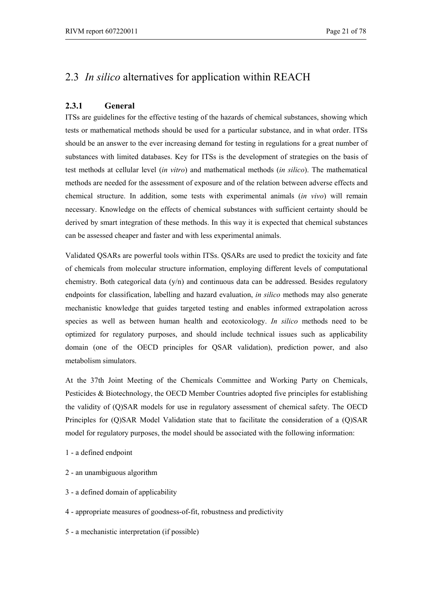## 2.3 *In silico* alternatives for application within REACH

### **2.3.1 General**

ITSs are guidelines for the effective testing of the hazards of chemical substances, showing which tests or mathematical methods should be used for a particular substance, and in what order. ITSs should be an answer to the ever increasing demand for testing in regulations for a great number of substances with limited databases. Key for ITSs is the development of strategies on the basis of test methods at cellular level (*in vitro*) and mathematical methods (*in silico*). The mathematical methods are needed for the assessment of exposure and of the relation between adverse effects and chemical structure. In addition, some tests with experimental animals (*in vivo*) will remain necessary. Knowledge on the effects of chemical substances with sufficient certainty should be derived by smart integration of these methods. In this way it is expected that chemical substances can be assessed cheaper and faster and with less experimental animals.

Validated QSARs are powerful tools within ITSs. QSARs are used to predict the toxicity and fate of chemicals from molecular structure information, employing different levels of computational chemistry. Both categorical data (y/n) and continuous data can be addressed. Besides regulatory endpoints for classification, labelling and hazard evaluation, *in silico* methods may also generate mechanistic knowledge that guides targeted testing and enables informed extrapolation across species as well as between human health and ecotoxicology. *In silico* methods need to be optimized for regulatory purposes, and should include technical issues such as applicability domain (one of the OECD principles for QSAR validation), prediction power, and also metabolism simulators.

At the 37th Joint Meeting of the Chemicals Committee and Working Party on Chemicals, Pesticides & Biotechnology, the OECD Member Countries adopted five principles for establishing the validity of (Q)SAR models for use in regulatory assessment of chemical safety. The OECD Principles for (Q)SAR Model Validation state that to facilitate the consideration of a (Q)SAR model for regulatory purposes, the model should be associated with the following information:

- 1 a defined endpoint
- 2 an unambiguous algorithm
- 3 a defined domain of applicability
- 4 appropriate measures of goodness-of-fit, robustness and predictivity
- 5 a mechanistic interpretation (if possible)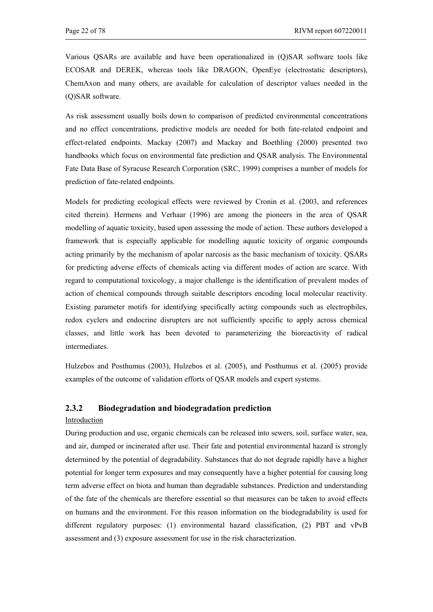Various QSARs are available and have been operationalized in (Q)SAR software tools like ECOSAR and DEREK, whereas tools like DRAGON, OpenEye (electrostatic descriptors), ChemAxon and many others, are available for calculation of descriptor values needed in the (Q)SAR software.

As risk assessment usually boils down to comparison of predicted environmental concentrations and no effect concentrations, predictive models are needed for both fate-related endpoint and effect-related endpoints. Mackay (2007) and Mackay and Boethling (2000) presented two handbooks which focus on environmental fate prediction and QSAR analysis. The Environmental Fate Data Base of Syracuse Research Corporation (SRC, 1999) comprises a number of models for prediction of fate-related endpoints.

Models for predicting ecological effects were reviewed by Cronin et al. (2003, and references cited therein). Hermens and Verhaar (1996) are among the pioneers in the area of QSAR modelling of aquatic toxicity, based upon assessing the mode of action. These authors developed a framework that is especially applicable for modelling aquatic toxicity of organic compounds acting primarily by the mechanism of apolar narcosis as the basic mechanism of toxicity. QSARs for predicting adverse effects of chemicals acting via different modes of action are scarce. With regard to computational toxicology, a major challenge is the identification of prevalent modes of action of chemical compounds through suitable descriptors encoding local molecular reactivity. Existing parameter motifs for identifying specifically acting compounds such as electrophiles, redox cyclers and endocrine disrupters are not sufficiently specific to apply across chemical classes, and little work has been devoted to parameterizing the bioreactivity of radical intermediates.

Hulzebos and Posthumus (2003), Hulzebos et al. (2005), and Posthumus et al. (2005) provide examples of the outcome of validation efforts of QSAR models and expert systems.

#### **2.3.2 Biodegradation and biodegradation prediction**

#### Introduction

During production and use, organic chemicals can be released into sewers, soil, surface water, sea, and air, dumped or incinerated after use. Their fate and potential environmental hazard is strongly determined by the potential of degradability. Substances that do not degrade rapidly have a higher potential for longer term exposures and may consequently have a higher potential for causing long term adverse effect on biota and human than degradable substances. Prediction and understanding of the fate of the chemicals are therefore essential so that measures can be taken to avoid effects on humans and the environment. For this reason information on the biodegradability is used for different regulatory purposes: (1) environmental hazard classification, (2) PBT and vPvB assessment and (3) exposure assessment for use in the risk characterization.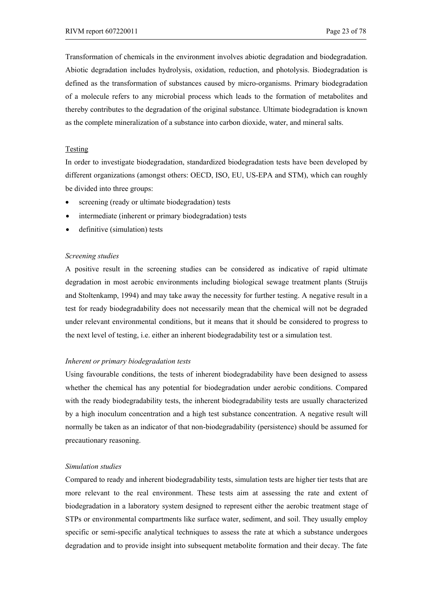Transformation of chemicals in the environment involves abiotic degradation and biodegradation. Abiotic degradation includes hydrolysis, oxidation, reduction, and photolysis. Biodegradation is defined as the transformation of substances caused by micro-organisms. Primary biodegradation of a molecule refers to any microbial process which leads to the formation of metabolites and thereby contributes to the degradation of the original substance. Ultimate biodegradation is known as the complete mineralization of a substance into carbon dioxide, water, and mineral salts.

#### Testing

In order to investigate biodegradation, standardized biodegradation tests have been developed by different organizations (amongst others: OECD, ISO, EU, US-EPA and STM), which can roughly be divided into three groups:

- screening (ready or ultimate biodegradation) tests
- intermediate (inherent or primary biodegradation) tests
- definitive (simulation) tests

#### *Screening studies*

A positive result in the screening studies can be considered as indicative of rapid ultimate degradation in most aerobic environments including biological sewage treatment plants (Struijs and Stoltenkamp, 1994) and may take away the necessity for further testing. A negative result in a test for ready biodegradability does not necessarily mean that the chemical will not be degraded under relevant environmental conditions, but it means that it should be considered to progress to the next level of testing, i.e. either an inherent biodegradability test or a simulation test.

#### *Inherent or primary biodegradation tests*

Using favourable conditions, the tests of inherent biodegradability have been designed to assess whether the chemical has any potential for biodegradation under aerobic conditions. Compared with the ready biodegradability tests, the inherent biodegradability tests are usually characterized by a high inoculum concentration and a high test substance concentration. A negative result will normally be taken as an indicator of that non-biodegradability (persistence) should be assumed for precautionary reasoning.

#### *Simulation studies*

Compared to ready and inherent biodegradability tests, simulation tests are higher tier tests that are more relevant to the real environment. These tests aim at assessing the rate and extent of biodegradation in a laboratory system designed to represent either the aerobic treatment stage of STPs or environmental compartments like surface water, sediment, and soil. They usually employ specific or semi-specific analytical techniques to assess the rate at which a substance undergoes degradation and to provide insight into subsequent metabolite formation and their decay. The fate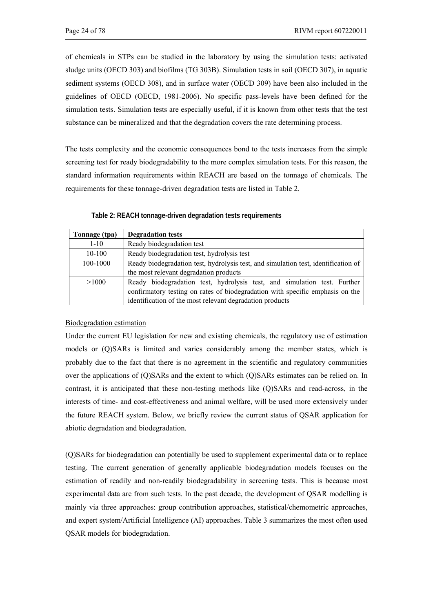of chemicals in STPs can be studied in the laboratory by using the simulation tests: activated sludge units (OECD 303) and biofilms (TG 303B). Simulation tests in soil (OECD 307), in aquatic sediment systems (OECD 308), and in surface water (OECD 309) have been also included in the guidelines of OECD (OECD, 1981-2006). No specific pass-levels have been defined for the simulation tests. Simulation tests are especially useful, if it is known from other tests that the test substance can be mineralized and that the degradation covers the rate determining process.

The tests complexity and the economic consequences bond to the tests increases from the simple screening test for ready biodegradability to the more complex simulation tests. For this reason, the standard information requirements within REACH are based on the tonnage of chemicals. The requirements for these tonnage-driven degradation tests are listed in Table 2.

| Table 2: REACH tonnage-driven degradation tests requirements |
|--------------------------------------------------------------|
|--------------------------------------------------------------|

| Tonnage (tpa) | <b>Degradation tests</b>                                                           |  |  |
|---------------|------------------------------------------------------------------------------------|--|--|
| $1 - 10$      | Ready biodegradation test                                                          |  |  |
| $10-100$      | Ready biodegradation test, hydrolysis test                                         |  |  |
| 100-1000      | Ready biodegradation test, hydrolysis test, and simulation test, identification of |  |  |
|               | the most relevant degradation products                                             |  |  |
| >1000         | Ready biodegradation test, hydrolysis test, and simulation test. Further           |  |  |
|               | confirmatory testing on rates of biodegradation with specific emphasis on the      |  |  |
|               | identification of the most relevant degradation products                           |  |  |

#### Biodegradation estimation

Under the current EU legislation for new and existing chemicals, the regulatory use of estimation models or (Q)SARs is limited and varies considerably among the member states, which is probably due to the fact that there is no agreement in the scientific and regulatory communities over the applications of (Q)SARs and the extent to which (Q)SARs estimates can be relied on. In contrast, it is anticipated that these non-testing methods like (Q)SARs and read-across, in the interests of time- and cost-effectiveness and animal welfare, will be used more extensively under the future REACH system. Below, we briefly review the current status of QSAR application for abiotic degradation and biodegradation.

(Q)SARs for biodegradation can potentially be used to supplement experimental data or to replace testing. The current generation of generally applicable biodegradation models focuses on the estimation of readily and non-readily biodegradability in screening tests. This is because most experimental data are from such tests. In the past decade, the development of QSAR modelling is mainly via three approaches: group contribution approaches, statistical/chemometric approaches, and expert system/Artificial Intelligence (AI) approaches. Table 3 summarizes the most often used QSAR models for biodegradation.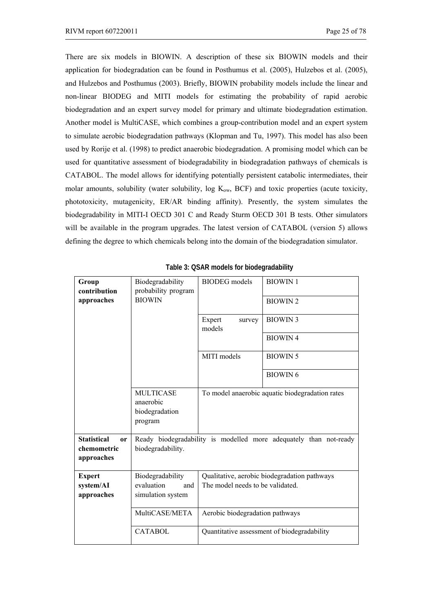There are six models in BIOWIN. A description of these six BIOWIN models and their application for biodegradation can be found in Posthumus et al. (2005), Hulzebos et al. (2005), and Hulzebos and Posthumus (2003). Briefly, BIOWIN probability models include the linear and non-linear BIODEG and MITI models for estimating the probability of rapid aerobic biodegradation and an expert survey model for primary and ultimate biodegradation estimation. Another model is MultiCASE, which combines a group-contribution model and an expert system to simulate aerobic biodegradation pathways (Klopman and Tu, 1997). This model has also been used by Rorije et al. (1998) to predict anaerobic biodegradation. A promising model which can be used for quantitative assessment of biodegradability in biodegradation pathways of chemicals is CATABOL. The model allows for identifying potentially persistent catabolic intermediates, their molar amounts, solubility (water solubility, log  $K_{ow}$ , BCF) and toxic properties (acute toxicity, phototoxicity, mutagenicity, ER/AR binding affinity). Presently, the system simulates the biodegradability in MITI-I OECD 301 C and Ready Sturm OECD 301 B tests. Other simulators will be available in the program upgrades. The latest version of CATABOL (version 5) allows defining the degree to which chemicals belong into the domain of the biodegradation simulator.

| Group<br>contribution                                        | Biodegradability<br>probability program                    | <b>BIODEG</b> models                                                                                  | <b>BIOWIN1</b>                                  |  |  |
|--------------------------------------------------------------|------------------------------------------------------------|-------------------------------------------------------------------------------------------------------|-------------------------------------------------|--|--|
| approaches                                                   | <b>BIOWIN</b>                                              |                                                                                                       | <b>BIOWIN2</b>                                  |  |  |
|                                                              |                                                            | Expert<br>survey<br>models                                                                            | <b>BIOWIN3</b>                                  |  |  |
|                                                              |                                                            |                                                                                                       | <b>BIOWIN4</b>                                  |  |  |
|                                                              |                                                            | MITI models                                                                                           | <b>BIOWIN5</b>                                  |  |  |
|                                                              |                                                            |                                                                                                       | <b>BIOWIN6</b>                                  |  |  |
|                                                              | <b>MULTICASE</b><br>anaerobic<br>biodegradation<br>program |                                                                                                       | To model anaerobic aquatic biodegradation rates |  |  |
| <b>Statistical</b><br><b>or</b><br>chemometric<br>approaches | biodegradability.                                          | Ready biodegradability is modelled more adequately than not-ready                                     |                                                 |  |  |
| <b>Expert</b><br>system/AI                                   | Biodegradability                                           | Qualitative, aerobic biodegradation pathways<br>evaluation<br>The model needs to be validated.<br>and |                                                 |  |  |
| approaches                                                   | simulation system                                          |                                                                                                       |                                                 |  |  |
|                                                              | MultiCASE/META<br>Aerobic biodegradation pathways          |                                                                                                       |                                                 |  |  |
|                                                              | <b>CATABOL</b>                                             | Quantitative assessment of biodegradability                                                           |                                                 |  |  |

**Table 3: QSAR models for biodegradability**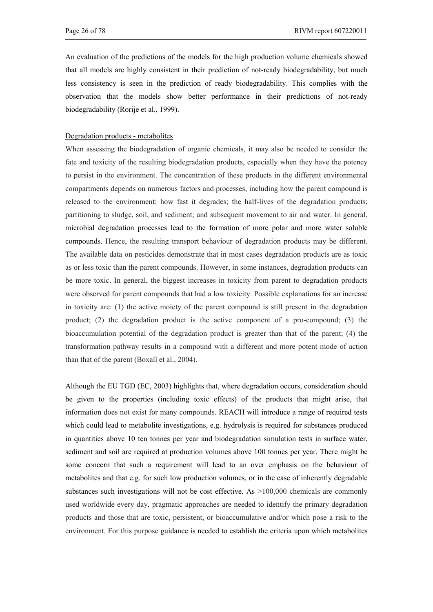An evaluation of the predictions of the models for the high production volume chemicals showed that all models are highly consistent in their prediction of not-ready biodegradability, but much less consistency is seen in the prediction of ready biodegradability. This complies with the observation that the models show better performance in their predictions of not-ready biodegradability (Rorije et al., 1999).

#### Degradation products - metabolites

When assessing the biodegradation of organic chemicals, it may also be needed to consider the fate and toxicity of the resulting biodegradation products, especially when they have the potency to persist in the environment. The concentration of these products in the different environmental compartments depends on numerous factors and processes, including how the parent compound is released to the environment; how fast it degrades; the half-lives of the degradation products; partitioning to sludge, soil, and sediment; and subsequent movement to air and water. In general, microbial degradation processes lead to the formation of more polar and more water soluble compounds. Hence, the resulting transport behaviour of degradation products may be different. The available data on pesticides demonstrate that in most cases degradation products are as toxic as or less toxic than the parent compounds. However, in some instances, degradation products can be more toxic. In general, the biggest increases in toxicity from parent to degradation products were observed for parent compounds that had a low toxicity. Possible explanations for an increase in toxicity are: (1) the active moiety of the parent compound is still present in the degradation product; (2) the degradation product is the active component of a pro-compound; (3) the bioaccumulation potential of the degradation product is greater than that of the parent; (4) the transformation pathway results in a compound with a different and more potent mode of action than that of the parent (Boxall et al., 2004).

Although the EU TGD (EC, 2003) highlights that, where degradation occurs, consideration should be given to the properties (including toxic effects) of the products that might arise, that information does not exist for many compounds. REACH will introduce a range of required tests which could lead to metabolite investigations, e.g. hydrolysis is required for substances produced in quantities above 10 ten tonnes per year and biodegradation simulation tests in surface water, sediment and soil are required at production volumes above 100 tonnes per year. There might be some concern that such a requirement will lead to an over emphasis on the behaviour of metabolites and that e.g. for such low production volumes, or in the case of inherently degradable substances such investigations will not be cost effective. As  $>100,000$  chemicals are commonly used worldwide every day, pragmatic approaches are needed to identify the primary degradation products and those that are toxic, persistent, or bioaccumulative and/or which pose a risk to the environment. For this purpose guidance is needed to establish the criteria upon which metabolites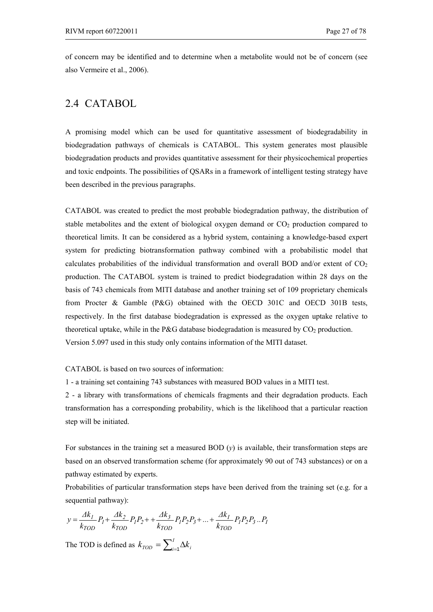of concern may be identified and to determine when a metabolite would not be of concern (see also Vermeire et al., 2006).

### 2.4 CATABOL

A promising model which can be used for quantitative assessment of biodegradability in biodegradation pathways of chemicals is CATABOL. This system generates most plausible biodegradation products and provides quantitative assessment for their physicochemical properties and toxic endpoints. The possibilities of QSARs in a framework of intelligent testing strategy have been described in the previous paragraphs.

CATABOL was created to predict the most probable biodegradation pathway, the distribution of stable metabolites and the extent of biological oxygen demand or  $CO<sub>2</sub>$  production compared to theoretical limits. It can be considered as a hybrid system, containing a knowledge-based expert system for predicting biotransformation pathway combined with a probabilistic model that calculates probabilities of the individual transformation and overall BOD and/or extent of  $CO<sub>2</sub>$ production. The CATABOL system is trained to predict biodegradation within 28 days on the basis of 743 chemicals from MITI database and another training set of 109 proprietary chemicals from Procter & Gamble (P&G) obtained with the OECD 301C and OECD 301B tests, respectively. In the first database biodegradation is expressed as the oxygen uptake relative to theoretical uptake, while in the P&G database biodegradation is measured by  $CO<sub>2</sub>$  production. Version 5.097 used in this study only contains information of the MITI dataset.

#### CATABOL is based on two sources of information:

1 - a training set containing 743 substances with measured BOD values in a MITI test.

2 - a library with transformations of chemicals fragments and their degradation products. Each transformation has a corresponding probability, which is the likelihood that a particular reaction step will be initiated.

For substances in the training set a measured BOD (*y*) is available, their transformation steps are based on an observed transformation scheme (for approximately 90 out of 743 substances) or on a pathway estimated by experts.

Probabilities of particular transformation steps have been derived from the training set (e.g. for a sequential pathway):

$$
y = \frac{\Delta k_1}{k_{TOD}} P_1 + \frac{\Delta k_2}{k_{TOD}} P_1 P_2 + \frac{\Delta k_3}{k_{TOD}} P_1 P_2 P_3 + \dots + \frac{\Delta k_I}{k_{TOD}} P_1 P_2 P_3 \dots P_I
$$

The TOD is defined as  $k_{\text{TOP}} = \sum_{i=1}^{I} \Delta k_i$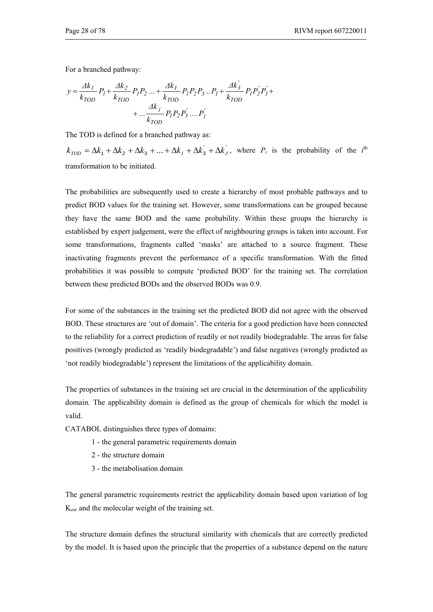For a branched pathway:

$$
y = \frac{\Delta k_1}{k_{TOD}} P_I + \frac{\Delta k_2}{k_{TOD}} P_I P_2 ... + \frac{\Delta k_I}{k_{TOD}} P_I P_2 P_3 ... P_I + \frac{\Delta k'_3}{k_{TOD}} P_I P_2' P_3' + ... + \frac{\Delta k_j}{k_{TOD}} P_I P_2 P_3' .... P_j'
$$

The TOD is defined for a branched pathway as:

 $k_{TOD} = \Delta k_1 + \Delta k_2 + \Delta k_3 + \dots + \Delta k_l + \Delta k_3 + \Delta k_l$ , where  $P_i$  is the probability of the *i*<sup>th</sup> transformation to be initiated.

The probabilities are subsequently used to create a hierarchy of most probable pathways and to predict BOD values for the training set. However, some transformations can be grouped because they have the same BOD and the same probability. Within these groups the hierarchy is established by expert judgement, were the effect of neighbouring groups is taken into account. For some transformations, fragments called 'masks' are attached to a source fragment. These inactivating fragments prevent the performance of a specific transformation. With the fitted probabilities it was possible to compute 'predicted BOD' for the training set. The correlation between these predicted BODs and the observed BODs was 0.9.

For some of the substances in the training set the predicted BOD did not agree with the observed BOD. These structures are 'out of domain'. The criteria for a good prediction have been connected to the reliability for a correct prediction of readily or not readily biodegradable. The areas for false positives (wrongly predicted as 'readily biodegradable') and false negatives (wrongly predicted as 'not readily biodegradable') represent the limitations of the applicability domain.

The properties of substances in the training set are crucial in the determination of the applicability domain. The applicability domain is defined as the group of chemicals for which the model is valid.

CATABOL distinguishes three types of domains:

- 1 the general parametric requirements domain
- 2 the structure domain
- 3 the metabolisation domain

The general parametric requirements restrict the applicability domain based upon variation of log Kow and the molecular weight of the training set.

The structure domain defines the structural similarity with chemicals that are correctly predicted by the model. It is based upon the principle that the properties of a substance depend on the nature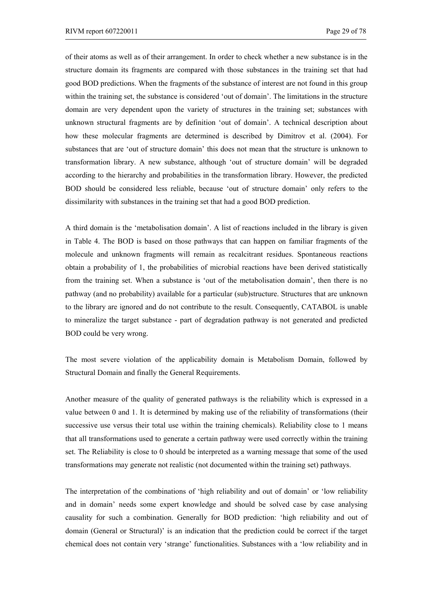of their atoms as well as of their arrangement. In order to check whether a new substance is in the structure domain its fragments are compared with those substances in the training set that had good BOD predictions. When the fragments of the substance of interest are not found in this group within the training set, the substance is considered 'out of domain'. The limitations in the structure domain are very dependent upon the variety of structures in the training set; substances with unknown structural fragments are by definition 'out of domain'. A technical description about how these molecular fragments are determined is described by Dimitrov et al. (2004). For substances that are 'out of structure domain' this does not mean that the structure is unknown to transformation library. A new substance, although 'out of structure domain' will be degraded according to the hierarchy and probabilities in the transformation library. However, the predicted BOD should be considered less reliable, because 'out of structure domain' only refers to the dissimilarity with substances in the training set that had a good BOD prediction.

A third domain is the 'metabolisation domain'. A list of reactions included in the library is given in Table 4. The BOD is based on those pathways that can happen on familiar fragments of the molecule and unknown fragments will remain as recalcitrant residues. Spontaneous reactions obtain a probability of 1, the probabilities of microbial reactions have been derived statistically from the training set. When a substance is 'out of the metabolisation domain', then there is no pathway (and no probability) available for a particular (sub)structure. Structures that are unknown to the library are ignored and do not contribute to the result. Consequently, CATABOL is unable to mineralize the target substance - part of degradation pathway is not generated and predicted BOD could be very wrong.

The most severe violation of the applicability domain is Metabolism Domain, followed by Structural Domain and finally the General Requirements.

Another measure of the quality of generated pathways is the reliability which is expressed in a value between 0 and 1. It is determined by making use of the reliability of transformations (their successive use versus their total use within the training chemicals). Reliability close to 1 means that all transformations used to generate a certain pathway were used correctly within the training set. The Reliability is close to 0 should be interpreted as a warning message that some of the used transformations may generate not realistic (not documented within the training set) pathways.

The interpretation of the combinations of 'high reliability and out of domain' or 'low reliability and in domain' needs some expert knowledge and should be solved case by case analysing causality for such a combination. Generally for BOD prediction: 'high reliability and out of domain (General or Structural)' is an indication that the prediction could be correct if the target chemical does not contain very 'strange' functionalities. Substances with a 'low reliability and in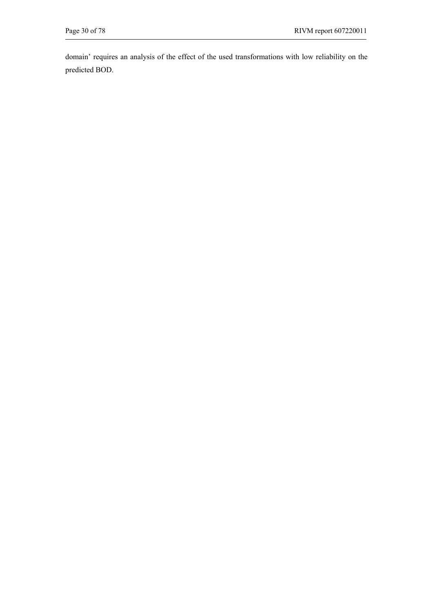domain' requires an analysis of the effect of the used transformations with low reliability on the predicted BOD.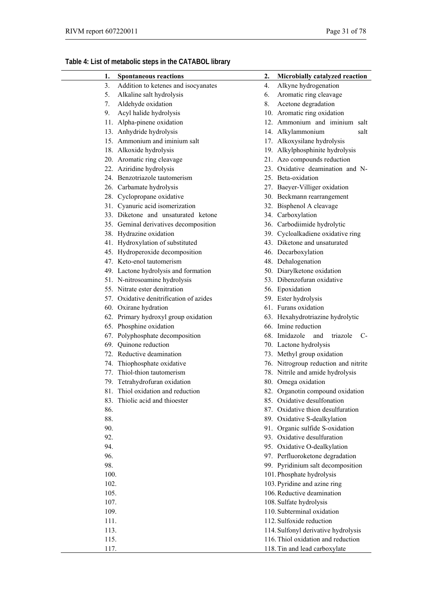## **Table 4: List of metabolic steps in the CATABOL library**

| 1.   | <b>Spontaneous reactions</b>            | 2. | Microbially catalyzed reaction         |
|------|-----------------------------------------|----|----------------------------------------|
| 3.   | Addition to ketenes and isocyanates     | 4. | Alkyne hydrogenation                   |
| 5.   | Alkaline salt hydrolysis                | 6. | Aromatic ring cleavage                 |
| 7.   | Aldehyde oxidation                      | 8. | Acetone degradation                    |
| 9.   | Acyl halide hydrolysis                  |    | 10. Aromatic ring oxidation            |
|      | 11. Alpha-pinene oxidation              |    | 12. Ammonium and iminium salt          |
|      | 13. Anhydride hydrolysis                |    | 14. Alkylammonium<br>salt              |
|      | 15. Ammonium and iminium salt           |    | 17. Alkoxysilane hydrolysis            |
|      | 18. Alkoxide hydrolysis                 |    | 19. Alkylphosphinite hydrolysis        |
|      | 20. Aromatic ring cleavage              |    | 21. Azo compounds reduction            |
|      | 22. Aziridine hydrolysis                |    | 23. Oxidative deamination and N-       |
|      | 24. Benzotriazole tautomerism           |    | 25. Beta-oxidation                     |
|      | 26. Carbamate hydrolysis                |    | 27. Baeyer-Villiger oxidation          |
|      | 28. Cyclopropane oxidative              |    | 30. Beckmann rearrangement             |
|      | 31. Cyanuric acid isomerization         |    | 32. Bisphenol A cleavage               |
|      | 33. Diketone and unsaturated ketone     |    | 34. Carboxylation                      |
|      | 35. Geminal derivatives decomposition   |    | 36. Carbodiimide hydrolytic            |
|      | 38. Hydrazine oxidation                 |    | 39. Cycloalkadiene oxidative ring      |
|      | 41. Hydroxylation of substituted        |    | 43. Diketone and unsaturated           |
|      | 45. Hydroperoxide decomposition         |    | 46. Decarboxylation                    |
|      | 47. Keto-enol tautomerism               |    | 48. Dehalogenation                     |
|      | 49. Lactone hydrolysis and formation    |    | 50. Diarylketone oxidation             |
|      | 51. N-nitrosoamine hydrolysis           |    | 53. Dibenzofuran oxidative             |
|      | 55. Nitrate ester denitration           |    | 56. Epoxidation                        |
|      | 57. Oxidative denitrification of azides |    | 59. Ester hydrolysis                   |
|      | 60. Oxirane hydration                   |    | 61. Furans oxidation                   |
|      | 62. Primary hydroxyl group oxidation    |    | 63. Hexahydrotriazine hydrolytic       |
|      | 65. Phosphine oxidation                 |    | 66. Imine reduction                    |
|      | 67. Polyphosphate decomposition         |    | 68. Imidazole<br>triazole<br>and<br>C- |
|      | 69. Quinone reduction                   |    | 70. Lactone hydrolysis                 |
|      | 72. Reductive deamination               |    | 73. Methyl group oxidation             |
|      | 74. Thiophosphate oxidative             |    | 76. Nitrogroup reduction and nitrite   |
|      | 77. Thiol-thion tautomerism             |    | 78. Nitrile and amide hydrolysis       |
|      | 79. Tetrahydrofuran oxidation           |    | 80. Omega oxidation                    |
|      | 81. Thiol oxidation and reduction       |    | 82. Organotin compound oxidation       |
|      | 83. Thiolic acid and thioester          |    | 85. Oxidative desulfonation            |
| 86.  |                                         |    | 87. Oxidative thion desulfuration      |
| 88.  |                                         |    | 89. Oxidative S-dealkylation           |
| 90.  |                                         |    | 91. Organic sulfide S-oxidation        |
| 92.  |                                         |    | 93. Oxidative desulfuration            |
| 94.  |                                         |    | 95. Oxidative O-dealkylation           |
| 96.  |                                         |    | 97. Perfluoroketone degradation        |
| 98.  |                                         |    | 99. Pyridinium salt decomposition      |
| 100. |                                         |    | 101. Phosphate hydrolysis              |
| 102. |                                         |    | 103. Pyridine and azine ring           |
| 105. |                                         |    | 106. Reductive deamination             |
| 107. |                                         |    | 108. Sulfate hydrolysis                |
| 109. |                                         |    | 110. Subterminal oxidation             |
| 111. |                                         |    | 112. Sulfoxide reduction               |
| 113. |                                         |    | 114. Sulfonyl derivative hydrolysis    |
| 115. |                                         |    | 116. Thiol oxidation and reduction     |
| 117. |                                         |    | 118. Tin and lead carboxylate          |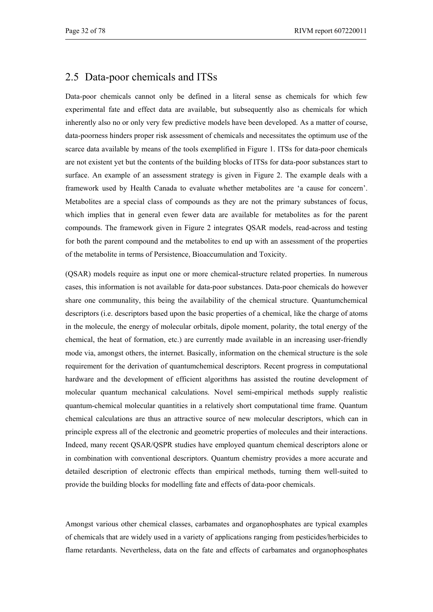## 2.5 Data-poor chemicals and ITSs

Data-poor chemicals cannot only be defined in a literal sense as chemicals for which few experimental fate and effect data are available, but subsequently also as chemicals for which inherently also no or only very few predictive models have been developed. As a matter of course, data-poorness hinders proper risk assessment of chemicals and necessitates the optimum use of the scarce data available by means of the tools exemplified in Figure 1. ITSs for data-poor chemicals are not existent yet but the contents of the building blocks of ITSs for data-poor substances start to surface. An example of an assessment strategy is given in Figure 2. The example deals with a framework used by Health Canada to evaluate whether metabolites are 'a cause for concern'. Metabolites are a special class of compounds as they are not the primary substances of focus, which implies that in general even fewer data are available for metabolites as for the parent compounds. The framework given in Figure 2 integrates QSAR models, read-across and testing for both the parent compound and the metabolites to end up with an assessment of the properties of the metabolite in terms of Persistence, Bioaccumulation and Toxicity.

(QSAR) models require as input one or more chemical-structure related properties. In numerous cases, this information is not available for data-poor substances. Data-poor chemicals do however share one communality, this being the availability of the chemical structure. Quantumchemical descriptors (i.e. descriptors based upon the basic properties of a chemical, like the charge of atoms in the molecule, the energy of molecular orbitals, dipole moment, polarity, the total energy of the chemical, the heat of formation, etc.) are currently made available in an increasing user-friendly mode via, amongst others, the internet. Basically, information on the chemical structure is the sole requirement for the derivation of quantumchemical descriptors. Recent progress in computational hardware and the development of efficient algorithms has assisted the routine development of molecular quantum mechanical calculations. Novel semi-empirical methods supply realistic quantum-chemical molecular quantities in a relatively short computational time frame. Quantum chemical calculations are thus an attractive source of new molecular descriptors, which can in principle express all of the electronic and geometric properties of molecules and their interactions. Indeed, many recent QSAR/QSPR studies have employed quantum chemical descriptors alone or in combination with conventional descriptors. Quantum chemistry provides a more accurate and detailed description of electronic effects than empirical methods, turning them well-suited to provide the building blocks for modelling fate and effects of data-poor chemicals.

Amongst various other chemical classes, carbamates and organophosphates are typical examples of chemicals that are widely used in a variety of applications ranging from pesticides/herbicides to flame retardants. Nevertheless, data on the fate and effects of carbamates and organophosphates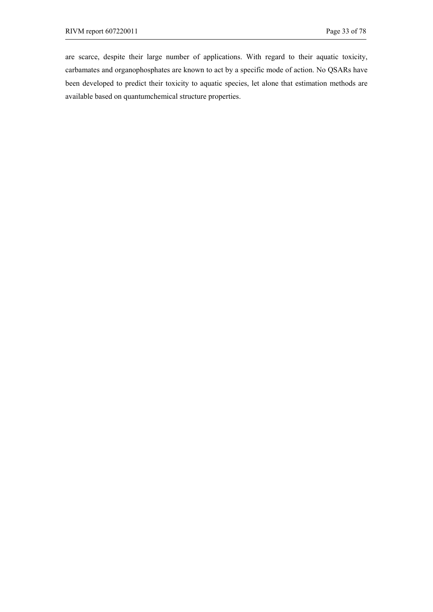are scarce, despite their large number of applications. With regard to their aquatic toxicity, carbamates and organophosphates are known to act by a specific mode of action. No QSARs have been developed to predict their toxicity to aquatic species, let alone that estimation methods are available based on quantumchemical structure properties.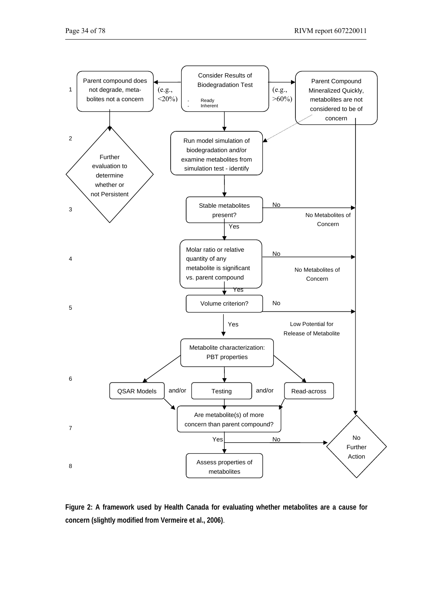

**Figure 2: A framework used by Health Canada for evaluating whether metabolites are a cause for concern (slightly modified from Vermeire et al., 2006)**.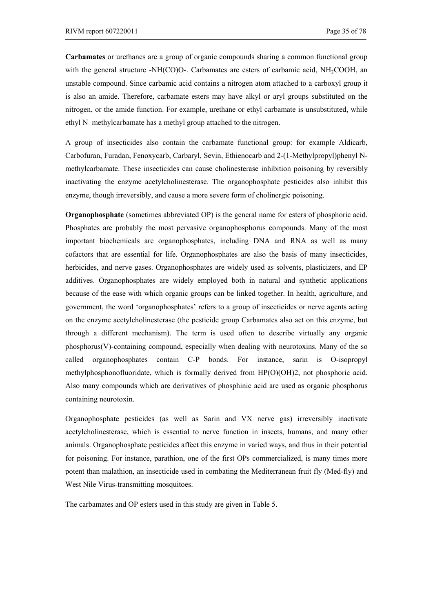**Carbamates** or urethanes are a group of organic compounds sharing a common functional group with the general structure -NH(CO)O-. Carbamates are esters of carbamic acid,  $NH<sub>2</sub>COOH$ , an unstable compound. Since carbamic acid contains a nitrogen atom attached to a carboxyl group it is also an amide. Therefore, carbamate esters may have alkyl or aryl groups substituted on the nitrogen, or the amide function. For example, urethane or ethyl carbamate is unsubstituted, while ethyl N–methylcarbamate has a methyl group attached to the nitrogen.

A group of insecticides also contain the carbamate functional group: for example Aldicarb, Carbofuran, Furadan, Fenoxycarb, Carbaryl, Sevin, Ethienocarb and 2-(1-Methylpropyl)phenyl Nmethylcarbamate. These insecticides can cause cholinesterase inhibition poisoning by reversibly inactivating the enzyme acetylcholinesterase. The organophosphate pesticides also inhibit this enzyme, though irreversibly, and cause a more severe form of cholinergic poisoning.

**Organophosphate** (sometimes abbreviated OP) is the general name for esters of phosphoric acid. Phosphates are probably the most pervasive organophosphorus compounds. Many of the most important biochemicals are organophosphates, including DNA and RNA as well as many cofactors that are essential for life. Organophosphates are also the basis of many insecticides, herbicides, and nerve gases. Organophosphates are widely used as solvents, plasticizers, and EP additives. Organophosphates are widely employed both in natural and synthetic applications because of the ease with which organic groups can be linked together. In health, agriculture, and government, the word 'organophosphates' refers to a group of insecticides or nerve agents acting on the enzyme acetylcholinesterase (the pesticide group Carbamates also act on this enzyme, but through a different mechanism). The term is used often to describe virtually any organic phosphorus(V)-containing compound, especially when dealing with neurotoxins. Many of the so called organophosphates contain C-P bonds. For instance, sarin is O-isopropyl methylphosphonofluoridate, which is formally derived from HP(O)(OH)2, not phosphoric acid. Also many compounds which are derivatives of phosphinic acid are used as organic phosphorus containing neurotoxin.

Organophosphate pesticides (as well as Sarin and VX nerve gas) irreversibly inactivate acetylcholinesterase, which is essential to nerve function in insects, humans, and many other animals. Organophosphate pesticides affect this enzyme in varied ways, and thus in their potential for poisoning. For instance, parathion, one of the first OPs commercialized, is many times more potent than malathion, an insecticide used in combating the Mediterranean fruit fly (Med-fly) and West Nile Virus-transmitting mosquitoes.

The carbamates and OP esters used in this study are given in Table 5.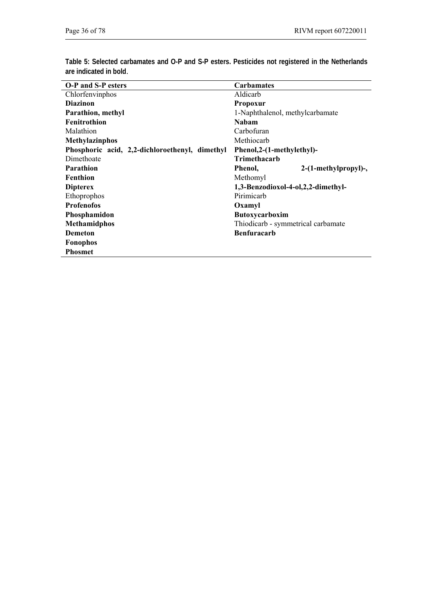**Table 5: Selected carbamates and O-P and S-P esters. Pesticides not registered in the Netherlands are indicated in bold**.

| <b>O-P</b> and S-P esters                      | <b>Carbamates</b>                  |  |  |  |
|------------------------------------------------|------------------------------------|--|--|--|
| Chlorfenvinphos                                | Aldicarb                           |  |  |  |
| <b>Diazinon</b>                                | <b>Propoxur</b>                    |  |  |  |
| Parathion, methyl                              | 1-Naphthalenol, methylcarbamate    |  |  |  |
| <b>Fenitrothion</b>                            | <b>Nabam</b>                       |  |  |  |
| Malathion                                      | Carbofuran                         |  |  |  |
| <b>Methylazinphos</b>                          | Methiocarb                         |  |  |  |
| Phosphoric acid, 2,2-dichloroethenyl, dimethyl | Phenol, 2-(1-methylethyl)-         |  |  |  |
| Dimethoate                                     | <b>Trimethacarb</b>                |  |  |  |
| <b>Parathion</b>                               | 2-(1-methylpropyl)-,<br>Phenol,    |  |  |  |
| <b>Fenthion</b>                                | Methomyl                           |  |  |  |
| <b>Dipterex</b>                                | 1,3-Benzodioxol-4-ol,2,2-dimethyl- |  |  |  |
| Ethoprophos                                    | Pirimicarb                         |  |  |  |
| <b>Profenofos</b>                              | Oxamyl                             |  |  |  |
| Phosphamidon                                   | <b>Butoxycarboxim</b>              |  |  |  |
| <b>Methamidphos</b>                            | Thiodicarb - symmetrical carbamate |  |  |  |
| <b>Demeton</b>                                 | <b>Benfuracarb</b>                 |  |  |  |
| <b>Fonophos</b>                                |                                    |  |  |  |
| <b>Phosmet</b>                                 |                                    |  |  |  |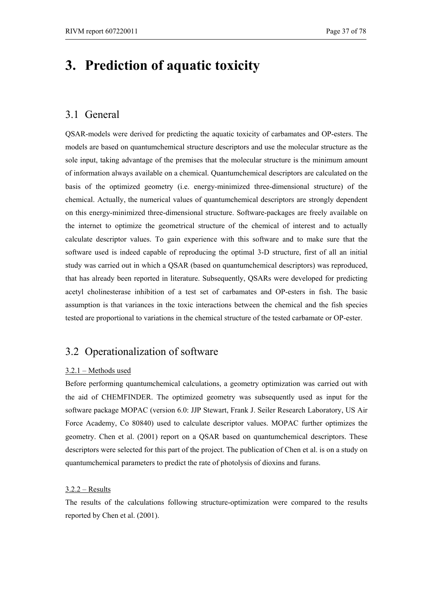# **3. Prediction of aquatic toxicity**

## 3.1 General

QSAR-models were derived for predicting the aquatic toxicity of carbamates and OP-esters. The models are based on quantumchemical structure descriptors and use the molecular structure as the sole input, taking advantage of the premises that the molecular structure is the minimum amount of information always available on a chemical. Quantumchemical descriptors are calculated on the basis of the optimized geometry (i.e. energy-minimized three-dimensional structure) of the chemical. Actually, the numerical values of quantumchemical descriptors are strongly dependent on this energy-minimized three-dimensional structure. Software-packages are freely available on the internet to optimize the geometrical structure of the chemical of interest and to actually calculate descriptor values. To gain experience with this software and to make sure that the software used is indeed capable of reproducing the optimal 3-D structure, first of all an initial study was carried out in which a QSAR (based on quantumchemical descriptors) was reproduced, that has already been reported in literature. Subsequently, QSARs were developed for predicting acetyl cholinesterase inhibition of a test set of carbamates and OP-esters in fish. The basic assumption is that variances in the toxic interactions between the chemical and the fish species tested are proportional to variations in the chemical structure of the tested carbamate or OP-ester.

# 3.2 Operationalization of software

#### 3.2.1 – Methods used

Before performing quantumchemical calculations, a geometry optimization was carried out with the aid of CHEMFINDER. The optimized geometry was subsequently used as input for the software package MOPAC (version 6.0: JJP Stewart, Frank J. Seiler Research Laboratory, US Air Force Academy, Co 80840) used to calculate descriptor values. MOPAC further optimizes the geometry. Chen et al. (2001) report on a QSAR based on quantumchemical descriptors. These descriptors were selected for this part of the project. The publication of Chen et al. is on a study on quantumchemical parameters to predict the rate of photolysis of dioxins and furans.

### 3.2.2 – Results

The results of the calculations following structure-optimization were compared to the results reported by Chen et al. (2001).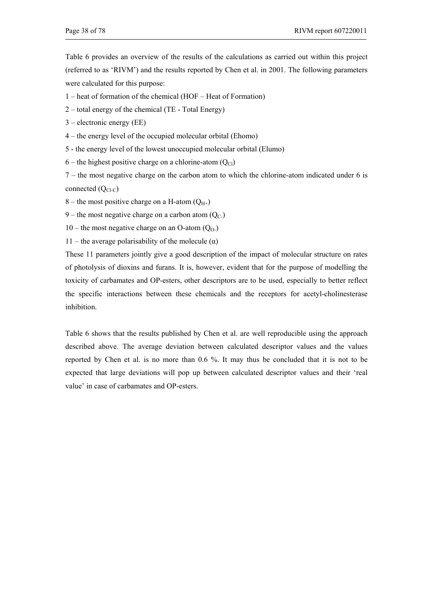Table 6 provides an overview of the results of the calculations as carried out within this project (referred to as 'RIVM') and the results reported by Chen et al. in 2001. The following parameters were calculated for this purpose:

- 1 heat of formation of the chemical (HOF Heat of Formation)
- 2 total energy of the chemical (TE Total Energy)
- 3 electronic energy (EE)
- 4 the energy level of the occupied molecular orbital (Ehomo)
- 5 the energy level of the lowest unoccupied molecular orbital (Elumo)
- 6 the highest positive charge on a chlorine-atom  $(Q<sub>Cl</sub>)$

7 – the most negative charge on the carbon atom to which the chlorine-atom indicated under 6 is connected  $(Q<sub>Cl-C</sub>)$ 

- 8 the most positive charge on a H-atom  $(Q_{H^+})$
- 9 the most negative charge on a carbon atom  $(Q_C)$
- 10 the most negative charge on an O-atom  $(O_0)$
- 11 the average polarisability of the molecule  $(\alpha)$

These 11 parameters jointly give a good description of the impact of molecular structure on rates of photolysis of dioxins and furans. It is, however, evident that for the purpose of modelling the toxicity of carbamates and OP-esters, other descriptors are to be used, especially to better reflect the specific interactions between these chemicals and the receptors for acetyl-cholinesterase inhibition.

Table 6 shows that the results published by Chen et al. are well reproducible using the approach described above. The average deviation between calculated descriptor values and the values reported by Chen et al. is no more than 0.6 %. It may thus be concluded that it is not to be expected that large deviations will pop up between calculated descriptor values and their 'real value' in case of carbamates and OP-esters.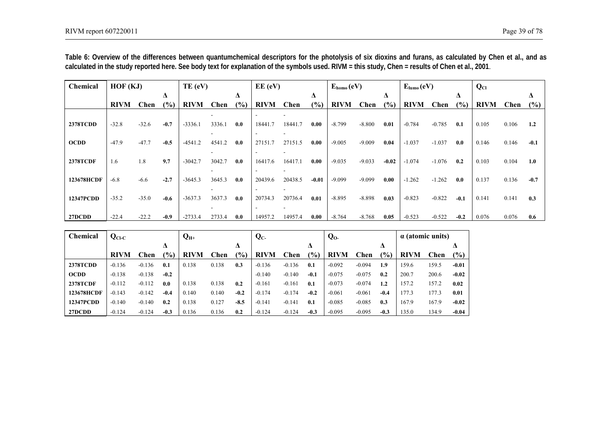| <b>Chemical</b> | HOF (KJ)    |         |        | TE (eV)     |        |     | $EE$ (eV)   |         |         | $E_{\text{homo}}(eV)$ |          |         | $E_{lumo}(eV)$          |          |        | $Q_{Cl}$    |       |        |
|-----------------|-------------|---------|--------|-------------|--------|-----|-------------|---------|---------|-----------------------|----------|---------|-------------------------|----------|--------|-------------|-------|--------|
|                 |             |         | Δ      |             |        | Δ   |             |         | Δ       |                       |          | Δ       |                         |          | Δ      |             |       | Δ      |
|                 | <b>RIVM</b> | Chen    | (%)    | <b>RIVM</b> | Chen   | (%) | <b>RIVM</b> | Chen    | (%)     | <b>RIVM</b>           | Chen     | (%)     | <b>RIVM</b>             | Chen     | (%)    | <b>RIVM</b> | Chen  | (%)    |
|                 |             |         |        |             |        |     |             |         |         |                       |          |         |                         |          |        |             |       |        |
| <b>2378TCDD</b> | $-32.8$     | $-32.6$ | $-0.7$ | $-3336.1$   | 3336.1 | 0.0 | 18441.7     | 18441.7 | 0.00    | $-8.799$              | $-8.800$ | 0.01    | $-0.784$                | $-0.785$ | 0.1    | 0.105       | 0.106 | 1.2    |
|                 |             |         |        |             |        |     |             |         |         |                       |          |         |                         |          |        |             |       |        |
| <b>OCDD</b>     | $-47.9$     | $-47.7$ | $-0.5$ | $-4541.2$   | 4541.2 | 0.0 | 27151.7     | 27151.5 | 0.00    | $-9.005$              | $-9.009$ | 0.04    | $-1.037$                | $-1.037$ | 0.0    | 0.146       | 0.146 | $-0.1$ |
|                 |             |         |        |             |        |     |             |         |         |                       |          |         |                         |          |        |             |       |        |
| <b>2378TCDF</b> | 1.6         | 1.8     | 9.7    | $-3042.7$   | 3042.7 | 0.0 | 16417.6     | 16417.1 | 0.00    | $-9.035$              | $-9.033$ | $-0.02$ | $-1.074$                | $-1.076$ | 0.2    | 0.103       | 0.104 | 1.0    |
|                 |             |         |        |             |        |     |             |         |         |                       |          |         |                         |          |        |             |       |        |
| 123678HCDF      | $-6.8$      | $-6.6$  | $-2.7$ | $-3645.3$   | 3645.3 | 0.0 | 20439.6     | 20438.5 | $-0.01$ | $-9.099$              | $-9.099$ | 0.00    | $-1.262$                | $-1.262$ | 0.0    | 0.137       | 0.136 | $-0.7$ |
|                 |             |         |        |             |        |     |             |         |         |                       |          |         |                         |          |        |             |       |        |
| 12347PCDD       | $-35.2$     | $-35.0$ | $-0.6$ | $-3637.3$   | 3637.3 | 0.0 | 20734.3     | 20736.4 | 0.01    | $-8.895$              | $-8.898$ | 0.03    | $-0.823$                | $-0.822$ | $-0.1$ | 0.141       | 0.141 | 0.3    |
|                 |             |         |        |             |        |     |             |         |         |                       |          |         |                         |          |        |             |       |        |
| 27DCDD          | $-22.4$     | $-22.2$ | $-0.9$ | $-2733.4$   | 2733.4 | 0.0 | 14957.2     | 14957.4 | 0.00    | $-8.764$              | $-8.768$ | 0.05    | $-0.523$                | $-0.522$ | $-0.2$ | 0.076       | 0.076 | 0.6    |
|                 |             |         |        |             |        |     |             |         |         |                       |          |         |                         |          |        |             |       |        |
| Chemical        | $Q_{CLC}$   |         |        | $Q_{H^+}$   |        |     | $Q_{C}$     |         |         | Q <sub>0</sub>        |          |         | $\alpha$ (atomic units) |          |        |             |       |        |

**Table 6: Overview of the differences between quantumchemical descriptors for the photolysis of six dioxins and furans, as calculated by Chen et al., and as calculated in the study reported here. See body text for explanation of the symbols used. RIVM = this study, Chen = results of Chen et al., 2001**.

| <b>Chemical</b>  | $Q_{CLC}$   |             |               | $Q_{\rm H^+}$ |       |               | $\mathbf{Q}_{\mathbf{C}}$ |          |        | $Q_{0}$     |          |        |             | $\alpha$ (atomic units) |         |
|------------------|-------------|-------------|---------------|---------------|-------|---------------|---------------------------|----------|--------|-------------|----------|--------|-------------|-------------------------|---------|
|                  |             |             | Δ             |               |       | Δ             |                           |          | Δ      |             |          |        |             |                         |         |
|                  | <b>RIVM</b> | <b>Chen</b> | $\frac{1}{2}$ | <b>RIVM</b>   | Chen  | $\frac{6}{6}$ | <b>RIVM</b>               | Chen     | $(\%)$ | <b>RIVM</b> | Chen     | (%)    | <b>RIVM</b> | <b>Chen</b>             | $(\%)$  |
| <b>2378TCDD</b>  | $-0.136$    | $-0.136$    | 0.1           | 0.138         | 0.138 | 0.3           | $-0.136$                  | $-0.136$ | 0.1    | $-0.092$    | $-0.094$ | 1.9    | 159.6       | 159.5                   | $-0.01$ |
| <b>OCDD</b>      | $-0.138$    | $-0.138$    | $-0.2$        |               |       |               | $-0.140$                  | $-0.140$ | $-0.1$ | $-0.075$    | $-0.075$ | 0.2    | 200.7       | 200.6                   | $-0.02$ |
| <b>2378TCDF</b>  | $-0.112$    | $-0.112$    | 0.0           | 0.138         | 0.138 | 0.2           | $-0.161$                  | $-0.161$ | 0.1    | $-0.073$    | $-0.074$ | 1.2    | 157.2       | 157.2                   | 0.02    |
| 123678HCDF       | $-0.143$    | $-0.142$    | $-0.4$        | 0.140         | 0.140 | $-0.2$        | $-0.174$                  | $-0.174$ | $-0.2$ | $-0.061$    | $-0.061$ | $-0.4$ | 177.3       | 177.3                   | 0.01    |
| <b>12347PCDD</b> | $-0.140$    | $-0.140$    | 0.2           | 0.138         | 0.127 | $-8.5$        | $-0.141$                  | $-0.141$ | 0.1    | $-0.085$    | $-0.085$ | 0.3    | 167.9       | 167.9                   | $-0.02$ |
| 27DCDD           | $-0.124$    | $-0.124$    | $-0.3$        | 0.136         | 0.136 | 0.2           | $-0.124$                  | $-0.124$ | $-0.3$ | $-0.095$    | $-0.095$ | $-0.3$ | 135.0       | 134.9                   | $-0.04$ |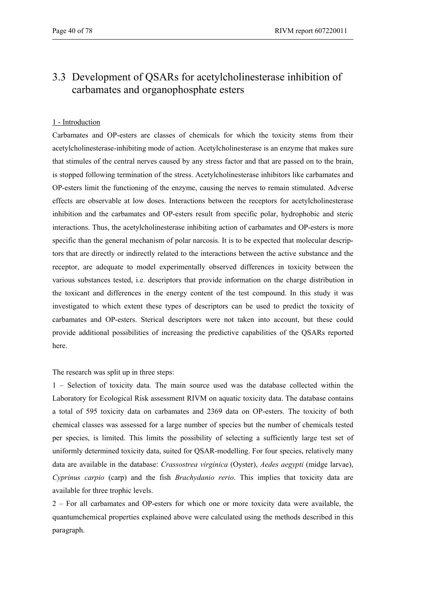# 3.3 Development of QSARs for acetylcholinesterase inhibition of carbamates and organophosphate esters

### 1 - Introduction

Carbamates and OP-esters are classes of chemicals for which the toxicity stems from their acetylcholinesterase-inhibiting mode of action. Acetylcholinesterase is an enzyme that makes sure that stimules of the central nerves caused by any stress factor and that are passed on to the brain, is stopped following termination of the stress. Acetylcholinesterase inhibitors like carbamates and OP-esters limit the functioning of the enzyme, causing the nerves to remain stimulated. Adverse effects are observable at low doses. Interactions between the receptors for acetylcholinesterase inhibition and the carbamates and OP-esters result from specific polar, hydrophobic and steric interactions. Thus, the acetylcholinesterase inhibiting action of carbamates and OP-esters is more specific than the general mechanism of polar narcosis. It is to be expected that molecular descriptors that are directly or indirectly related to the interactions between the active substance and the receptor, are adequate to model experimentally observed differences in toxicity between the various substances tested, i.e. descriptors that provide information on the charge distribution in the toxicant and differences in the energy content of the test compound. In this study it was investigated to which extent these types of descriptors can be used to predict the toxicity of carbamates and OP-esters. Sterical descriptors were not taken into account, but these could provide additional possibilities of increasing the predictive capabilities of the QSARs reported here.

The research was split up in three steps:

1 – Selection of toxicity data. The main source used was the database collected within the Laboratory for Ecological Risk assessment RIVM on aquatic toxicity data. The database contains a total of 595 toxicity data on carbamates and 2369 data on OP-esters. The toxicity of both chemical classes was assessed for a large number of species but the number of chemicals tested per species, is limited. This limits the possibility of selecting a sufficiently large test set of uniformly determined toxicity data, suited for QSAR-modelling. For four species, relatively many data are available in the database: *Crassostrea virginica* (Oyster), *Aedes aegypti* (midge larvae), *Cyprinus carpio* (carp) and the fish *Brachydanio rerio*. This implies that toxicity data are available for three trophic levels.

2 – For all carbamates and OP-esters for which one or more toxicity data were available, the quantumchemical properties explained above were calculated using the methods described in this paragraph.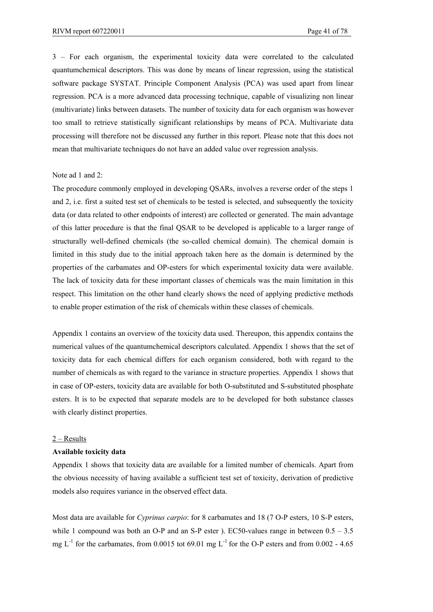3 – For each organism, the experimental toxicity data were correlated to the calculated quantumchemical descriptors. This was done by means of linear regression, using the statistical software package SYSTAT. Principle Component Analysis (PCA) was used apart from linear regression. PCA is a more advanced data processing technique, capable of visualizing non linear (multivariate) links between datasets. The number of toxicity data for each organism was however too small to retrieve statistically significant relationships by means of PCA. Multivariate data processing will therefore not be discussed any further in this report. Please note that this does not mean that multivariate techniques do not have an added value over regression analysis.

#### Note ad 1 and 2:

The procedure commonly employed in developing QSARs, involves a reverse order of the steps 1 and 2, i.e. first a suited test set of chemicals to be tested is selected, and subsequently the toxicity data (or data related to other endpoints of interest) are collected or generated. The main advantage of this latter procedure is that the final QSAR to be developed is applicable to a larger range of structurally well-defined chemicals (the so-called chemical domain). The chemical domain is limited in this study due to the initial approach taken here as the domain is determined by the properties of the carbamates and OP-esters for which experimental toxicity data were available. The lack of toxicity data for these important classes of chemicals was the main limitation in this respect. This limitation on the other hand clearly shows the need of applying predictive methods to enable proper estimation of the risk of chemicals within these classes of chemicals.

Appendix 1 contains an overview of the toxicity data used. Thereupon, this appendix contains the numerical values of the quantumchemical descriptors calculated. Appendix 1 shows that the set of toxicity data for each chemical differs for each organism considered, both with regard to the number of chemicals as with regard to the variance in structure properties. Appendix 1 shows that in case of OP-esters, toxicity data are available for both O-substituted and S-substituted phosphate esters. It is to be expected that separate models are to be developed for both substance classes with clearly distinct properties.

#### 2 – Results

#### **Available toxicity data**

Appendix 1 shows that toxicity data are available for a limited number of chemicals. Apart from the obvious necessity of having available a sufficient test set of toxicity, derivation of predictive models also requires variance in the observed effect data.

Most data are available for *Cyprinus carpio*: for 8 carbamates and 18 (7 O-P esters, 10 S-P esters, while 1 compound was both an O-P and an S-P ester ). EC50-values range in between  $0.5 - 3.5$ mg  $L^{-1}$  for the carbamates, from 0.0015 tot 69.01 mg  $L^{-1}$  for the O-P esters and from 0.002 - 4.65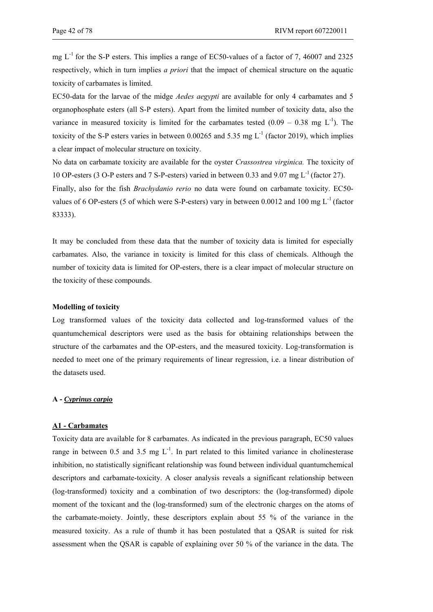mg  $L^{-1}$  for the S-P esters. This implies a range of EC50-values of a factor of 7, 46007 and 2325 respectively, which in turn implies *a priori* that the impact of chemical structure on the aquatic toxicity of carbamates is limited.

EC50-data for the larvae of the midge *Aedes aegypti* are available for only 4 carbamates and 5 organophosphate esters (all S-P esters). Apart from the limited number of toxicity data, also the variance in measured toxicity is limited for the carbamates tested  $(0.09 - 0.38 \text{ mg L}^{-1})$ . The toxicity of the S-P esters varies in between 0.00265 and 5.35 mg  $L^{-1}$  (factor 2019), which implies a clear impact of molecular structure on toxicity.

No data on carbamate toxicity are available for the oyster *Crassostrea virginica.* The toxicity of 10 OP-esters (3 O-P esters and 7 S-P-esters) varied in between 0.33 and 9.07 mg L-1 (factor 27).

Finally, also for the fish *Brachydanio rerio* no data were found on carbamate toxicity. EC50 values of 6 OP-esters (5 of which were S-P-esters) vary in between 0.0012 and 100 mg  $L^{-1}$  (factor 83333).

It may be concluded from these data that the number of toxicity data is limited for especially carbamates. Also, the variance in toxicity is limited for this class of chemicals. Although the number of toxicity data is limited for OP-esters, there is a clear impact of molecular structure on the toxicity of these compounds.

#### **Modelling of toxicity**

Log transformed values of the toxicity data collected and log-transformed values of the quantumchemical descriptors were used as the basis for obtaining relationships between the structure of the carbamates and the OP-esters, and the measured toxicity. Log-transformation is needed to meet one of the primary requirements of linear regression, i.e. a linear distribution of the datasets used.

#### **A -** *Cyprinus carpio*

#### **A1 - Carbamates**

Toxicity data are available for 8 carbamates. As indicated in the previous paragraph, EC50 values range in between 0.5 and 3.5 mg  $L^{-1}$ . In part related to this limited variance in cholinesterase inhibition, no statistically significant relationship was found between individual quantumchemical descriptors and carbamate-toxicity. A closer analysis reveals a significant relationship between (log-transformed) toxicity and a combination of two descriptors: the (log-transformed) dipole moment of the toxicant and the (log-transformed) sum of the electronic charges on the atoms of the carbamate-moiety. Jointly, these descriptors explain about 55 % of the variance in the measured toxicity. As a rule of thumb it has been postulated that a QSAR is suited for risk assessment when the QSAR is capable of explaining over 50 % of the variance in the data. The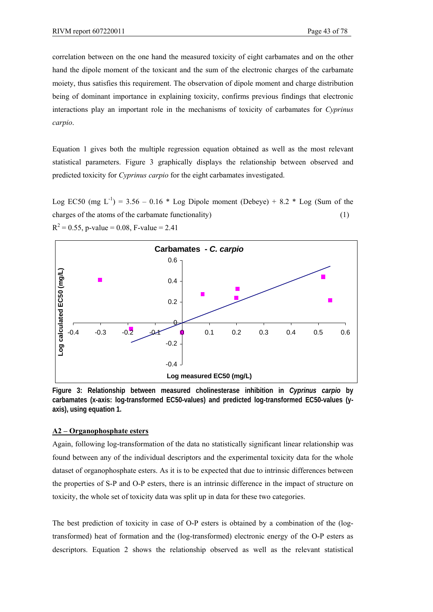correlation between on the one hand the measured toxicity of eight carbamates and on the other hand the dipole moment of the toxicant and the sum of the electronic charges of the carbamate moiety, thus satisfies this requirement. The observation of dipole moment and charge distribution being of dominant importance in explaining toxicity, confirms previous findings that electronic interactions play an important role in the mechanisms of toxicity of carbamates for *Cyprinus carpio*.

Equation 1 gives both the multiple regression equation obtained as well as the most relevant statistical parameters. Figure 3 graphically displays the relationship between observed and predicted toxicity for *Cyprinus carpio* for the eight carbamates investigated.

Log EC50 (mg  $L^{-1}$ ) = 3.56 – 0.16  $*$  Log Dipole moment (Debeye) + 8.2  $*$  Log (Sum of the charges of the atoms of the carbamate functionality) (1)  $R^2 = 0.55$ , p-value = 0.08, F-value = 2.41



**Figure 3: Relationship between measured cholinesterase inhibition in** *Cyprinus carpio* **by carbamates (x-axis: log-transformed EC50-values) and predicted log-transformed EC50-values (yaxis), using equation 1.** 

### **A2 – Organophosphate esters**

Again, following log-transformation of the data no statistically significant linear relationship was found between any of the individual descriptors and the experimental toxicity data for the whole dataset of organophosphate esters. As it is to be expected that due to intrinsic differences between the properties of S-P and O-P esters, there is an intrinsic difference in the impact of structure on toxicity, the whole set of toxicity data was split up in data for these two categories.

The best prediction of toxicity in case of O-P esters is obtained by a combination of the (logtransformed) heat of formation and the (log-transformed) electronic energy of the O-P esters as descriptors. Equation 2 shows the relationship observed as well as the relevant statistical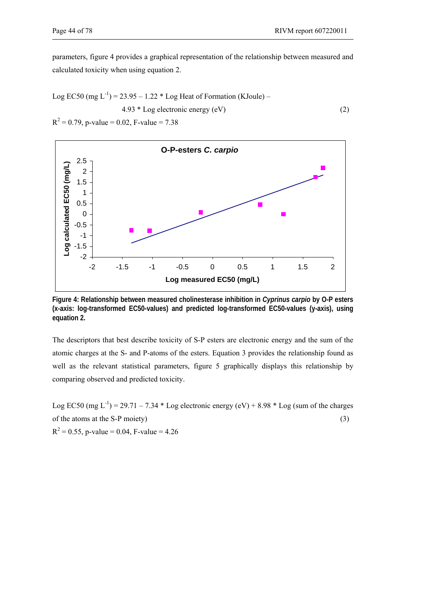parameters, figure 4 provides a graphical representation of the relationship between measured and calculated toxicity when using equation 2.

Log EC50 (mg L<sup>-1</sup>) = 23.95 – 1.22 \* Log Heat of Formation (KJoule) –  
4.93 \* Log electronic energy (eV)  

$$
R^2 = 0.79
$$
, p-value = 0.02, F-value = 7.38 (2)



**Figure 4: Relationship between measured cholinesterase inhibition in** *Cyprinus carpio* **by O-P esters (x-axis: log-transformed EC50-values) and predicted log-transformed EC50-values (y-axis), using equation 2.** 

The descriptors that best describe toxicity of S-P esters are electronic energy and the sum of the atomic charges at the S- and P-atoms of the esters. Equation 3 provides the relationship found as well as the relevant statistical parameters, figure 5 graphically displays this relationship by comparing observed and predicted toxicity.

Log EC50 (mg L<sup>-1</sup>) = 29.71 – 7.34  $*$  Log electronic energy (eV) + 8.98  $*$  Log (sum of the charges of the atoms at the S-P moiety)  $(3)$  $R^2 = 0.55$ , p-value = 0.04, F-value = 4.26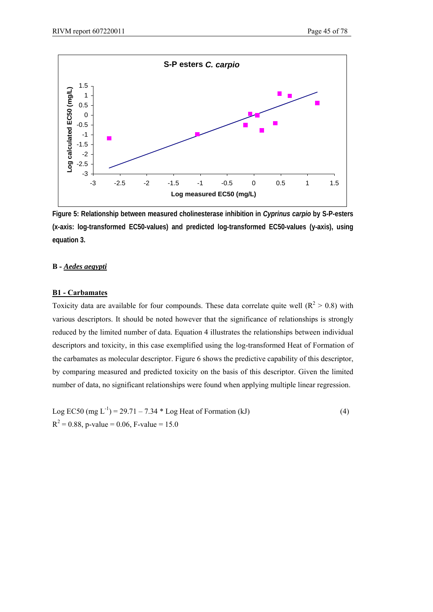

**Figure 5: Relationship between measured cholinesterase inhibition in** *Cyprinus carpio* **by S-P-esters (x-axis: log-transformed EC50-values) and predicted log-transformed EC50-values (y-axis), using equation 3.** 

## **B -** *Aedes aegypti*

#### **B1 - Carbamates**

Toxicity data are available for four compounds. These data correlate quite well ( $R^2 > 0.8$ ) with various descriptors. It should be noted however that the significance of relationships is strongly reduced by the limited number of data. Equation 4 illustrates the relationships between individual descriptors and toxicity, in this case exemplified using the log-transformed Heat of Formation of the carbamates as molecular descriptor. Figure 6 shows the predictive capability of this descriptor, by comparing measured and predicted toxicity on the basis of this descriptor. Given the limited number of data, no significant relationships were found when applying multiple linear regression.

Log EC50 (mg L<sup>-1</sup>) = 29.71 – 7.34  $*$  Log Heat of Formation (kJ) (4)  $R^2 = 0.88$ , p-value = 0.06, F-value = 15.0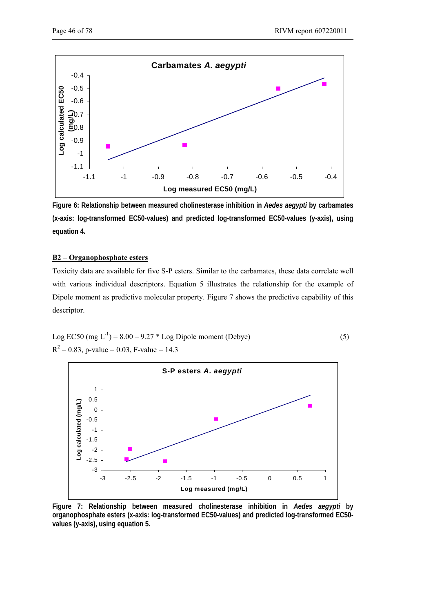

**Figure 6: Relationship between measured cholinesterase inhibition in** *Aedes aegypti* **by carbamates (x-axis: log-transformed EC50-values) and predicted log-transformed EC50-values (y-axis), using equation 4.** 

## **B2 – Organophosphate esters**

Toxicity data are available for five S-P esters. Similar to the carbamates, these data correlate well with various individual descriptors. Equation 5 illustrates the relationship for the example of Dipole moment as predictive molecular property. Figure 7 shows the predictive capability of this descriptor.

Log EC50 (mg L<sup>-1</sup>) = 8.00 – 9.27 \* Log Dipole moment (Debye)  
\n
$$
R^2 = 0.83
$$
, p-value = 0.03, F-value = 14.3 (5)



**Figure 7: Relationship between measured cholinesterase inhibition in** *Aedes aegypti* **by organophosphate esters (x-axis: log-transformed EC50-values) and predicted log-transformed EC50 values (y-axis), using equation 5.**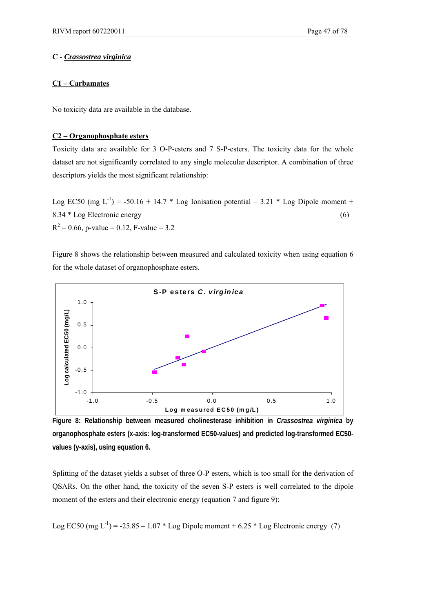## **C -** *Crassostrea virginica*

## **C1 – Carbamates**

No toxicity data are available in the database.

## **C2 – Organophosphate esters**

Toxicity data are available for 3 O-P-esters and 7 S-P-esters. The toxicity data for the whole dataset are not significantly correlated to any single molecular descriptor. A combination of three descriptors yields the most significant relationship:

Log EC50 (mg  $L^{-1}$ ) = -50.16 + 14.7 \* Log Ionisation potential – 3.21 \* Log Dipole moment + 8.34 \* Log Electronic energy (6)  $R^2 = 0.66$ , p-value = 0.12, F-value = 3.2

Figure 8 shows the relationship between measured and calculated toxicity when using equation 6 for the whole dataset of organophosphate esters.



**Figure 8: Relationship between measured cholinesterase inhibition in** *Crassostrea virginica* **by organophosphate esters (x-axis: log-transformed EC50-values) and predicted log-transformed EC50 values (y-axis), using equation 6.** 

Splitting of the dataset yields a subset of three O-P esters, which is too small for the derivation of QSARs. On the other hand, the toxicity of the seven S-P esters is well correlated to the dipole moment of the esters and their electronic energy (equation 7 and figure 9):

Log EC50 (mg  $L^{-1}$ ) = -25.85 – 1.07 \* Log Dipole moment + 6.25 \* Log Electronic energy (7)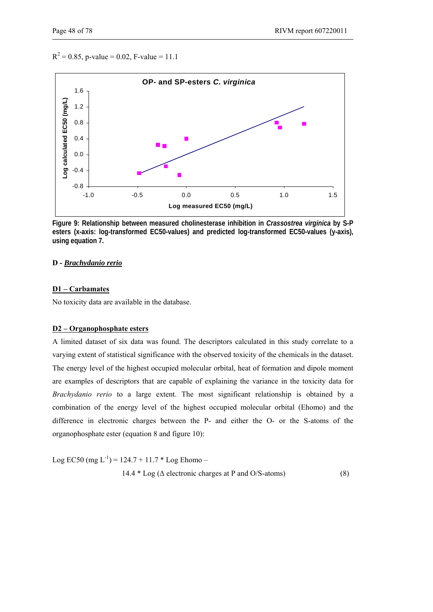$R^2 = 0.85$ , p-value = 0.02, F-value = 11.1



**Figure 9: Relationship between measured cholinesterase inhibition in** *Crassostrea virginica* **by S-P esters (x-axis: log-transformed EC50-values) and predicted log-transformed EC50-values (y-axis), using equation 7.** 

#### **D -** *Brachydanio rerio*

#### **D1 – Carbamates**

No toxicity data are available in the database.

#### **D2 – Organophosphate esters**

A limited dataset of six data was found. The descriptors calculated in this study correlate to a varying extent of statistical significance with the observed toxicity of the chemicals in the dataset. The energy level of the highest occupied molecular orbital, heat of formation and dipole moment are examples of descriptors that are capable of explaining the variance in the toxicity data for *Brachydanio rerio* to a large extent. The most significant relationship is obtained by a combination of the energy level of the highest occupied molecular orbital (Ehomo) and the difference in electronic charges between the P- and either the O- or the S-atoms of the organophosphate ester (equation 8 and figure 10):

Log EC50 (mg  $L^{-1}$ ) = 124.7 + 11.7 \* Log Ehomo –  $14.4 * Log (\Delta$  electronic charges at P and O/S-atoms) (8)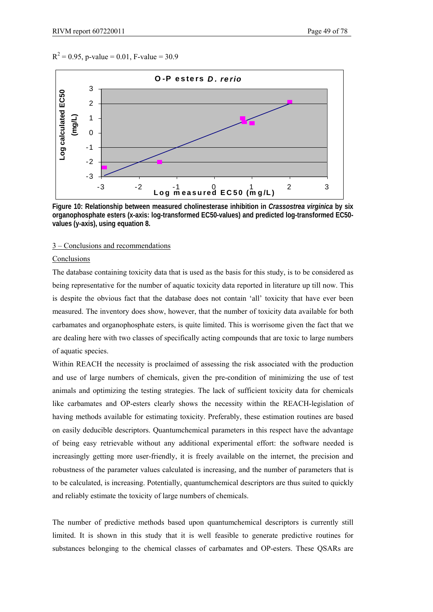$R^2 = 0.95$ , p-value = 0.01, F-value = 30.9



**Figure 10: Relationship between measured cholinesterase inhibition in** *Crassostrea virginica* **by six organophosphate esters (x-axis: log-transformed EC50-values) and predicted log-transformed EC50 values (y-axis), using equation 8.** 

#### 3 – Conclusions and recommendations

### **Conclusions**

The database containing toxicity data that is used as the basis for this study, is to be considered as being representative for the number of aquatic toxicity data reported in literature up till now. This is despite the obvious fact that the database does not contain 'all' toxicity that have ever been measured. The inventory does show, however, that the number of toxicity data available for both carbamates and organophosphate esters, is quite limited. This is worrisome given the fact that we are dealing here with two classes of specifically acting compounds that are toxic to large numbers of aquatic species.

Within REACH the necessity is proclaimed of assessing the risk associated with the production and use of large numbers of chemicals, given the pre-condition of minimizing the use of test animals and optimizing the testing strategies. The lack of sufficient toxicity data for chemicals like carbamates and OP-esters clearly shows the necessity within the REACH-legislation of having methods available for estimating toxicity. Preferably, these estimation routines are based on easily deducible descriptors. Quantumchemical parameters in this respect have the advantage of being easy retrievable without any additional experimental effort: the software needed is increasingly getting more user-friendly, it is freely available on the internet, the precision and robustness of the parameter values calculated is increasing, and the number of parameters that is to be calculated, is increasing. Potentially, quantumchemical descriptors are thus suited to quickly and reliably estimate the toxicity of large numbers of chemicals.

The number of predictive methods based upon quantumchemical descriptors is currently still limited. It is shown in this study that it is well feasible to generate predictive routines for substances belonging to the chemical classes of carbamates and OP-esters. These QSARs are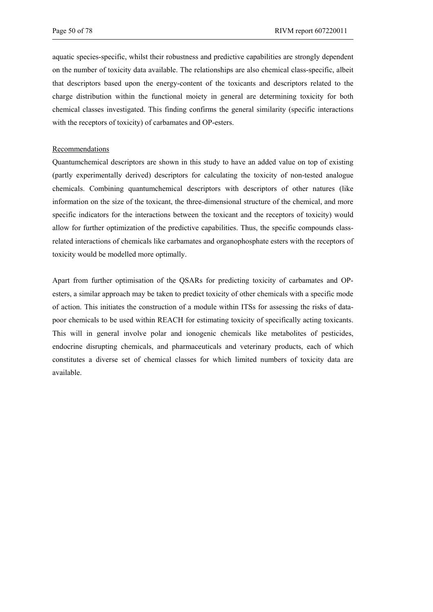aquatic species-specific, whilst their robustness and predictive capabilities are strongly dependent on the number of toxicity data available. The relationships are also chemical class-specific, albeit that descriptors based upon the energy-content of the toxicants and descriptors related to the charge distribution within the functional moiety in general are determining toxicity for both chemical classes investigated. This finding confirms the general similarity (specific interactions with the receptors of toxicity) of carbamates and OP-esters.

#### Recommendations

Quantumchemical descriptors are shown in this study to have an added value on top of existing (partly experimentally derived) descriptors for calculating the toxicity of non-tested analogue chemicals. Combining quantumchemical descriptors with descriptors of other natures (like information on the size of the toxicant, the three-dimensional structure of the chemical, and more specific indicators for the interactions between the toxicant and the receptors of toxicity) would allow for further optimization of the predictive capabilities. Thus, the specific compounds classrelated interactions of chemicals like carbamates and organophosphate esters with the receptors of toxicity would be modelled more optimally.

Apart from further optimisation of the QSARs for predicting toxicity of carbamates and OPesters, a similar approach may be taken to predict toxicity of other chemicals with a specific mode of action. This initiates the construction of a module within ITSs for assessing the risks of datapoor chemicals to be used within REACH for estimating toxicity of specifically acting toxicants. This will in general involve polar and ionogenic chemicals like metabolites of pesticides, endocrine disrupting chemicals, and pharmaceuticals and veterinary products, each of which constitutes a diverse set of chemical classes for which limited numbers of toxicity data are available.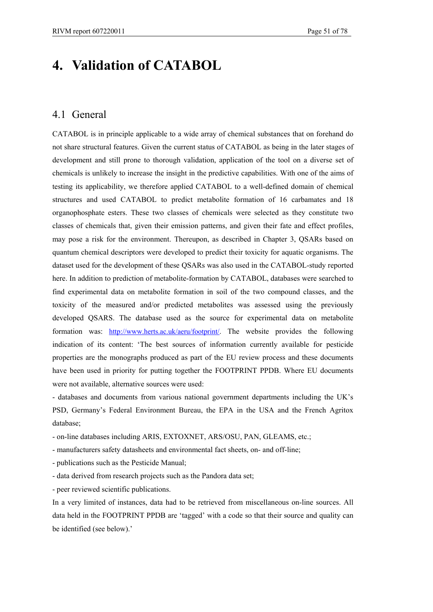# **4. Validation of CATABOL**

## 4.1 General

CATABOL is in principle applicable to a wide array of chemical substances that on forehand do not share structural features. Given the current status of CATABOL as being in the later stages of development and still prone to thorough validation, application of the tool on a diverse set of chemicals is unlikely to increase the insight in the predictive capabilities. With one of the aims of testing its applicability, we therefore applied CATABOL to a well-defined domain of chemical structures and used CATABOL to predict metabolite formation of 16 carbamates and 18 organophosphate esters. These two classes of chemicals were selected as they constitute two classes of chemicals that, given their emission patterns, and given their fate and effect profiles, may pose a risk for the environment. Thereupon, as described in Chapter 3, QSARs based on quantum chemical descriptors were developed to predict their toxicity for aquatic organisms. The dataset used for the development of these QSARs was also used in the CATABOL-study reported here. In addition to prediction of metabolite-formation by CATABOL, databases were searched to find experimental data on metabolite formation in soil of the two compound classes, and the toxicity of the measured and/or predicted metabolites was assessed using the previously developed QSARS. The database used as the source for experimental data on metabolite formation was: http://www.herts.ac.uk/aeru/footprint/. The website provides the following indication of its content: 'The best sources of information currently available for pesticide properties are the monographs produced as part of the EU review process and these documents have been used in priority for putting together the FOOTPRINT PPDB. Where EU documents were not available, alternative sources were used:

- databases and documents from various national government departments including the UK's PSD, Germany's Federal Environment Bureau, the EPA in the USA and the French Agritox database;

- on-line databases including ARIS, EXTOXNET, ARS/OSU, PAN, GLEAMS, etc.;

- manufacturers safety datasheets and environmental fact sheets, on- and off-line;

- publications such as the Pesticide Manual;

- data derived from research projects such as the Pandora data set;

- peer reviewed scientific publications.

In a very limited of instances, data had to be retrieved from miscellaneous on-line sources. All data held in the FOOTPRINT PPDB are 'tagged' with a code so that their source and quality can be identified (see below).'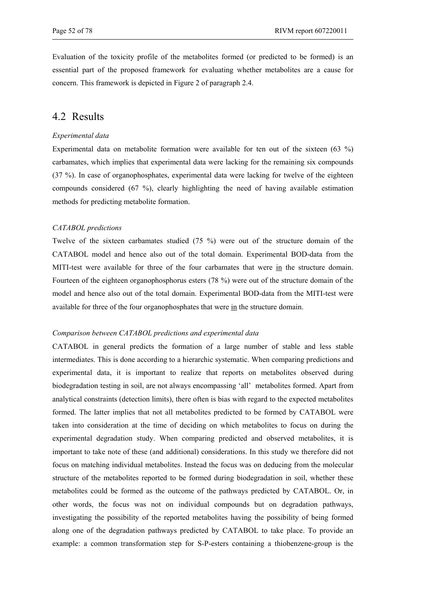Evaluation of the toxicity profile of the metabolites formed (or predicted to be formed) is an essential part of the proposed framework for evaluating whether metabolites are a cause for concern. This framework is depicted in Figure 2 of paragraph 2.4.

# 4.2 Results

#### *Experimental data*

Experimental data on metabolite formation were available for ten out of the sixteen (63 %) carbamates, which implies that experimental data were lacking for the remaining six compounds (37 %). In case of organophosphates, experimental data were lacking for twelve of the eighteen compounds considered (67 %), clearly highlighting the need of having available estimation methods for predicting metabolite formation.

#### *CATABOL predictions*

Twelve of the sixteen carbamates studied (75 %) were out of the structure domain of the CATABOL model and hence also out of the total domain. Experimental BOD-data from the MITI-test were available for three of the four carbamates that were in the structure domain. Fourteen of the eighteen organophosphorus esters (78 %) were out of the structure domain of the model and hence also out of the total domain. Experimental BOD-data from the MITI-test were available for three of the four organophosphates that were in the structure domain.

#### *Comparison between CATABOL predictions and experimental data*

CATABOL in general predicts the formation of a large number of stable and less stable intermediates. This is done according to a hierarchic systematic. When comparing predictions and experimental data, it is important to realize that reports on metabolites observed during biodegradation testing in soil, are not always encompassing 'all' metabolites formed. Apart from analytical constraints (detection limits), there often is bias with regard to the expected metabolites formed. The latter implies that not all metabolites predicted to be formed by CATABOL were taken into consideration at the time of deciding on which metabolites to focus on during the experimental degradation study. When comparing predicted and observed metabolites, it is important to take note of these (and additional) considerations. In this study we therefore did not focus on matching individual metabolites. Instead the focus was on deducing from the molecular structure of the metabolites reported to be formed during biodegradation in soil, whether these metabolites could be formed as the outcome of the pathways predicted by CATABOL. Or, in other words, the focus was not on individual compounds but on degradation pathways, investigating the possibility of the reported metabolites having the possibility of being formed along one of the degradation pathways predicted by CATABOL to take place. To provide an example: a common transformation step for S-P-esters containing a thiobenzene-group is the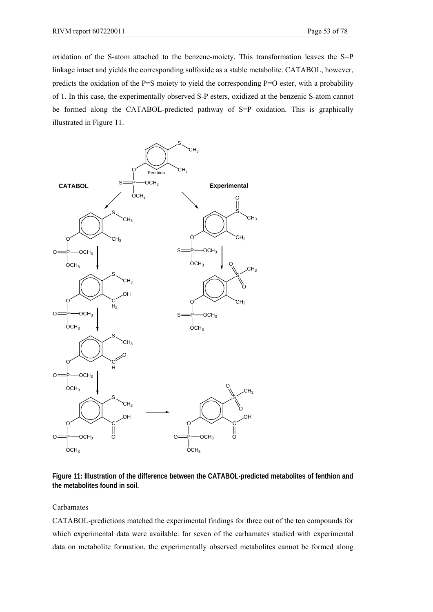oxidation of the S-atom attached to the benzene-moiety. This transformation leaves the  $S = P$ linkage intact and yields the corresponding sulfoxide as a stable metabolite. CATABOL, however, predicts the oxidation of the P=S moiety to yield the corresponding P=O ester, with a probability of 1. In this case, the experimentally observed S-P esters, oxidized at the benzenic S-atom cannot be formed along the CATABOL-predicted pathway of S=P oxidation. This is graphically illustrated in Figure 11.



**Figure 11: Illustration of the difference between the CATABOL-predicted metabolites of fenthion and the metabolites found in soil.** 

#### Carbamates

CATABOL-predictions matched the experimental findings for three out of the ten compounds for which experimental data were available: for seven of the carbamates studied with experimental data on metabolite formation, the experimentally observed metabolites cannot be formed along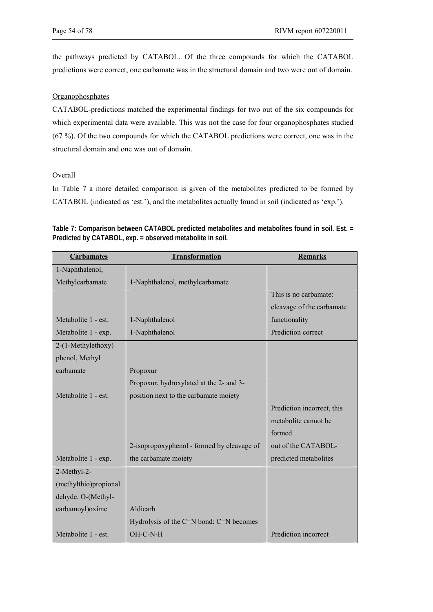the pathways predicted by CATABOL. Of the three compounds for which the CATABOL predictions were correct, one carbamate was in the structural domain and two were out of domain.

## **Organophosphates**

CATABOL-predictions matched the experimental findings for two out of the six compounds for which experimental data were available. This was not the case for four organophosphates studied (67 %). Of the two compounds for which the CATABOL predictions were correct, one was in the structural domain and one was out of domain.

## Overall

In Table 7 a more detailed comparison is given of the metabolites predicted to be formed by CATABOL (indicated as 'est.'), and the metabolites actually found in soil (indicated as 'exp.').

| <b>Carbamates</b>     | <b>Transformation</b>                      | <b>Remarks</b>             |
|-----------------------|--------------------------------------------|----------------------------|
| 1-Naphthalenol,       |                                            |                            |
| Methylcarbamate       | 1-Naphthalenol, methylcarbamate            |                            |
|                       |                                            | This is no carbamate:      |
|                       |                                            | cleavage of the carbamate  |
| Metabolite 1 - est.   | 1-Naphthalenol                             | functionality              |
| Metabolite 1 - exp.   | 1-Naphthalenol                             | Prediction correct         |
| 2-(1-Methylethoxy)    |                                            |                            |
| phenol, Methyl        |                                            |                            |
| carbamate             | Propoxur                                   |                            |
|                       | Propoxur, hydroxylated at the 2- and 3-    |                            |
| Metabolite 1 - est.   | position next to the carbamate moiety      |                            |
|                       |                                            | Prediction incorrect, this |
|                       |                                            | metabolite cannot be       |
|                       |                                            | formed                     |
|                       | 2-isopropoxyphenol - formed by cleavage of | out of the CATABOL-        |
| Metabolite 1 - exp.   | the carbamate moiety                       | predicted metabolites      |
| 2-Methyl-2-           |                                            |                            |
| (methylthio)propional |                                            |                            |
| dehyde, O-(Methyl-    |                                            |                            |
| carbamoyl) oxime      | Aldicarb                                   |                            |
|                       | Hydrolysis of the C=N bond: C=N becomes    |                            |
| Metabolite 1 - est.   | OH-C-N-H                                   | Prediction incorrect       |

**Table 7: Comparison between CATABOL predicted metabolites and metabolites found in soil. Est. = Predicted by CATABOL, exp. = observed metabolite in soil.**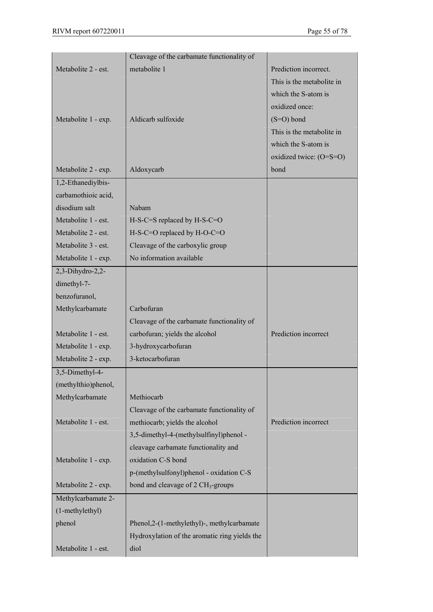|                     | Cleavage of the carbamate functionality of     |                           |
|---------------------|------------------------------------------------|---------------------------|
| Metabolite 2 - est. | metabolite 1                                   | Prediction incorrect.     |
|                     |                                                | This is the metabolite in |
|                     |                                                | which the S-atom is       |
|                     |                                                | oxidized once:            |
| Metabolite 1 - exp. | Aldicarb sulfoxide                             | $(S=O)$ bond              |
|                     |                                                | This is the metabolite in |
|                     |                                                | which the S-atom is       |
|                     |                                                | oxidized twice: (O=S=O)   |
| Metabolite 2 - exp. | Aldoxycarb                                     | bond                      |
| 1,2-Ethanediylbis-  |                                                |                           |
| carbamothioic acid, |                                                |                           |
| disodium salt       | Nabam                                          |                           |
| Metabolite 1 - est. | $H-S-C=S$ replaced by $H-S-C=O$                |                           |
| Metabolite 2 - est. | H-S-C=O replaced by H-O-C=O                    |                           |
| Metabolite 3 - est. | Cleavage of the carboxylic group               |                           |
| Metabolite 1 - exp. | No information available                       |                           |
| $2,3$ -Dihydro-2,2- |                                                |                           |
| dimethyl-7-         |                                                |                           |
| benzofuranol,       |                                                |                           |
| Methylcarbamate     | Carbofuran                                     |                           |
|                     | Cleavage of the carbamate functionality of     |                           |
| Metabolite 1 - est. | carbofuran; yields the alcohol                 | Prediction incorrect      |
| Metabolite 1 - exp. | 3-hydroxycarbofuran                            |                           |
| Metabolite 2 - exp. | 3-ketocarbofuran                               |                           |
| 3,5-Dimethyl-4-     |                                                |                           |
| (methylthio)phenol, |                                                |                           |
| Methylcarbamate     | Methiocarb                                     |                           |
|                     | Cleavage of the carbamate functionality of     |                           |
| Metabolite 1 - est. | methiocarb; yields the alcohol                 | Prediction incorrect      |
|                     | 3,5-dimethyl-4-(methylsulfinyl)phenol -        |                           |
|                     | cleavage carbamate functionality and           |                           |
| Metabolite 1 - exp. | oxidation C-S bond                             |                           |
|                     | p-(methylsulfonyl)phenol - oxidation C-S       |                           |
| Metabolite 2 - exp. | bond and cleavage of 2 CH <sub>3</sub> -groups |                           |
| Methylcarbamate 2-  |                                                |                           |
| (1-methylethyl)     |                                                |                           |
| phenol              | Phenol, 2-(1-methylethyl)-, methylcarbamate    |                           |
|                     | Hydroxylation of the aromatic ring yields the  |                           |
| Metabolite 1 - est. | diol                                           |                           |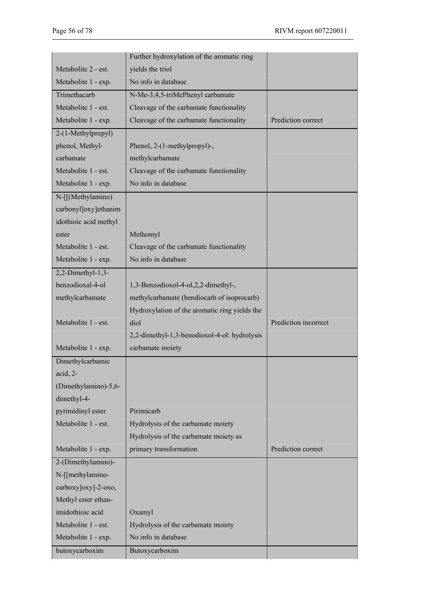|                       | Further hydroxylation of the aromatic ring    |                      |
|-----------------------|-----------------------------------------------|----------------------|
| Metabolite 2 - est.   | yields the triol                              |                      |
| Metabolite 1 - exp.   | No info in database                           |                      |
| Trimethacarb          | N-Me-3,4,5-triMePhenyl carbamate              |                      |
| Metabolite 1 - est.   | Cleavage of the carbamate functionality       |                      |
| Metabolite 1 - exp.   | Cleavage of the carbamate functionality       | Prediction correct   |
| 2-(1-Methylpropyl)    |                                               |                      |
| phenol, Methyl-       | Phenol, 2-(1-methylpropyl)-,                  |                      |
| carbamate             | methylcarbamate                               |                      |
| Metabolite 1 - est.   | Cleavage of the carbamate functionality       |                      |
| Metabolite 1 - exp.   | No info in database                           |                      |
| N-[[(Methylamino)     |                                               |                      |
| carbonyl]oxy]ethanim  |                                               |                      |
| idothioic acid methyl |                                               |                      |
| ester                 | Methomyl                                      |                      |
| Metabolite 1 - est.   | Cleavage of the carbamate functionality       |                      |
| Metabolite 1 - exp.   | No info in database                           |                      |
| $2,2$ -Dimethyl-1,3-  |                                               |                      |
| benzodioxal-4-ol      | 1,3-Benzodioxol-4-ol,2,2-dimethyl-,           |                      |
| methylcarbamate       | methylcarbamate (bendiocarb of isoprocarb)    |                      |
|                       | Hydroxylation of the aromatic ring yields the |                      |
| Metabolite 1 - est.   | diol                                          | Prediction incorrect |
|                       | 2,2-dimethyl-1,3-benodioxol-4-ol: hydrolysis  |                      |
| Metabolite 1 - exp.   | carbamate moiety                              |                      |
| Dimethylcarbamic      |                                               |                      |
| acid. $2-$            |                                               |                      |
| (Dimethylamino)-5,6-  |                                               |                      |
| dimethyl-4-           |                                               |                      |
| pyrimidinyl ester     | Pirimicarb                                    |                      |
| Metabolite 1 - est.   | Hydrolysis of the carbamate moiety            |                      |
|                       | Hydrolysis of the carbamate moiety as         |                      |
| Metabolite 1 - exp.   | primary transformation                        | Prediction correct   |
| 2-(Dimethylamino)-    |                                               |                      |
| N-[[methylamino-      |                                               |                      |
| carboxy]oxy]-2-oxo,   |                                               |                      |
| Methyl ester ethan-   |                                               |                      |
| imidothioic acid      | Oxamyl                                        |                      |
| Metabolite 1 - est.   | Hydrolysis of the carbamate moiety            |                      |
| Metabolite 1 - exp.   | No info in database                           |                      |
| butoxycarboxim        | Butoxycarboxim                                |                      |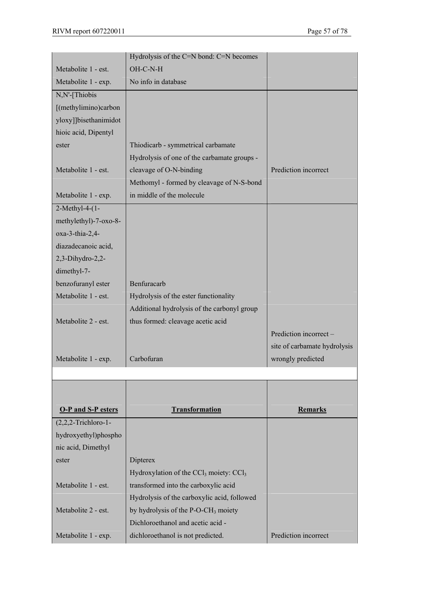|                           | Hydrolysis of the C=N bond: C=N becomes         |                              |
|---------------------------|-------------------------------------------------|------------------------------|
| Metabolite 1 - est.       | OH-C-N-H                                        |                              |
| Metabolite 1 - exp.       | No info in database                             |                              |
| N,N'-[Thiobis             |                                                 |                              |
| [(methylimino)carbon      |                                                 |                              |
| yloxy]]bisethanimidot     |                                                 |                              |
| hioic acid, Dipentyl      |                                                 |                              |
| ester                     | Thiodicarb - symmetrical carbamate              |                              |
|                           | Hydrolysis of one of the carbamate groups -     |                              |
| Metabolite 1 - est.       | cleavage of O-N-binding                         | Prediction incorrect         |
|                           | Methomyl - formed by cleavage of N-S-bond       |                              |
| Metabolite 1 - exp.       | in middle of the molecule                       |                              |
| 2-Methyl-4-(1-            |                                                 |                              |
| methylethyl)-7-oxo-8-     |                                                 |                              |
| $oxa-3-thia-2,4-$         |                                                 |                              |
| diazadecanoic acid,       |                                                 |                              |
| $2,3$ -Dihydro-2,2-       |                                                 |                              |
| dimethyl-7-               |                                                 |                              |
| benzofuranyl ester        | Benfuracarb                                     |                              |
| Metabolite 1 - est.       | Hydrolysis of the ester functionality           |                              |
|                           | Additional hydrolysis of the carbonyl group     |                              |
| Metabolite 2 - est.       | thus formed: cleavage acetic acid               |                              |
|                           |                                                 | Prediction incorrect -       |
|                           |                                                 | site of carbamate hydrolysis |
| Metabolite 1 - exp.       | Carbofuran                                      | wrongly predicted            |
|                           |                                                 |                              |
|                           |                                                 |                              |
|                           |                                                 |                              |
| <b>O-P and S-P esters</b> | <b>Transformation</b>                           | Remarks                      |
| $(2,2,2$ -Trichloro-1-    |                                                 |                              |
| hydroxyethyl)phospho      |                                                 |                              |
| nic acid, Dimethyl        |                                                 |                              |
| ester                     | Dipterex                                        |                              |
|                           | Hydroxylation of the $CCl_3$ moiety: $CCl_3$    |                              |
| Metabolite 1 - est.       | transformed into the carboxylic acid            |                              |
|                           | Hydrolysis of the carboxylic acid, followed     |                              |
| Metabolite 2 - est.       | by hydrolysis of the P-O-CH <sub>3</sub> moiety |                              |
|                           | Dichloroethanol and acetic acid -               |                              |
|                           |                                                 | Prediction incorrect         |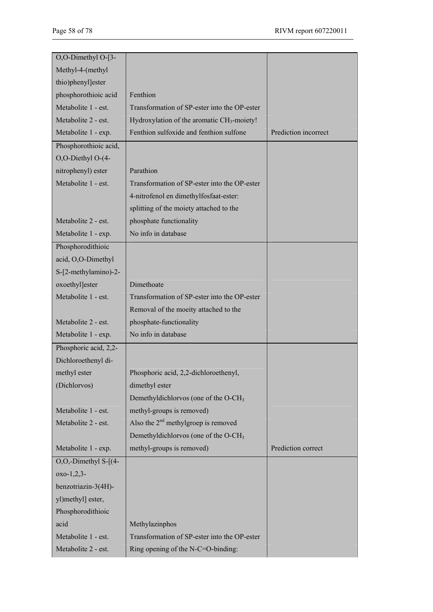| O,O-Dimethyl O-[3-         |                                                        |                      |
|----------------------------|--------------------------------------------------------|----------------------|
| Methyl-4-(methyl           |                                                        |                      |
| thio)phenyl]ester          |                                                        |                      |
| phosphorothioic acid       | Fenthion                                               |                      |
| Metabolite 1 - est.        | Transformation of SP-ester into the OP-ester           |                      |
| Metabolite 2 - est.        | Hydroxylation of the aromatic CH <sub>3</sub> -moiety! |                      |
| Metabolite 1 - exp.        | Fenthion sulfoxide and fenthion sulfone                | Prediction incorrect |
| Phosphorothioic acid,      |                                                        |                      |
| O,O-Diethyl O-(4-          |                                                        |                      |
| nitrophenyl) ester         | Parathion                                              |                      |
| Metabolite 1 - est.        | Transformation of SP-ester into the OP-ester           |                      |
|                            | 4-nitrofenol en dimethylfosfaat-ester:                 |                      |
|                            | splitting of the moiety attached to the                |                      |
| Metabolite 2 - est.        | phosphate functionality                                |                      |
| Metabolite 1 - exp.        | No info in database                                    |                      |
| Phosphorodithioic          |                                                        |                      |
| acid, O,O-Dimethyl         |                                                        |                      |
| S-[2-methylamino)-2-       |                                                        |                      |
| oxoethyl]ester             | Dimethoate                                             |                      |
| Metabolite 1 - est.        | Transformation of SP-ester into the OP-ester           |                      |
|                            | Removal of the moeity attached to the                  |                      |
| Metabolite 2 - est.        | phosphate-functionality                                |                      |
| Metabolite 1 - exp.        | No info in database                                    |                      |
| Phosphoric acid, 2,2-      |                                                        |                      |
| Dichloroethenyl di-        |                                                        |                      |
| methyl ester               | Phosphoric acid, 2,2-dichloroethenyl,                  |                      |
| (Dichlorvos)               | dimethyl ester                                         |                      |
|                            | Demethyldichlorvos (one of the O-CH <sub>3</sub>       |                      |
| Metabolite 1 - est.        | methyl-groups is removed)                              |                      |
| Metabolite 2 - est.        | Also the $2nd$ methylgroep is removed                  |                      |
|                            | Demethyldichlorvos (one of the O-CH <sub>3</sub>       |                      |
| Metabolite 1 - exp.        | methyl-groups is removed)                              | Prediction correct   |
| $O, O,$ -Dimethyl S- $(4-$ |                                                        |                      |
| $oxo-1,2,3-$               |                                                        |                      |
| benzotriazin-3(4H)-        |                                                        |                      |
| yl)methyl] ester,          |                                                        |                      |
| Phosphorodithioic          |                                                        |                      |
| acid                       | Methylazinphos                                         |                      |
| Metabolite 1 - est.        | Transformation of SP-ester into the OP-ester           |                      |
| Metabolite 2 - est.        | Ring opening of the N-C=O-binding:                     |                      |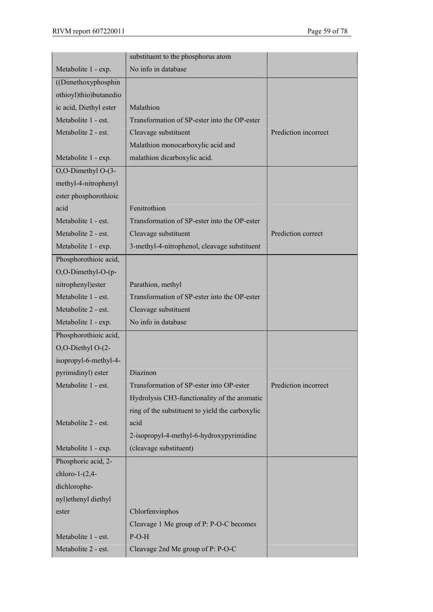|                        | substituent to the phosphorus atom              |                      |
|------------------------|-------------------------------------------------|----------------------|
| Metabolite 1 - exp.    | No info in database                             |                      |
| ((Dimethoxyphosphin    |                                                 |                      |
| othioyl)thio)butanedio |                                                 |                      |
| ic acid, Diethyl ester | Malathion                                       |                      |
| Metabolite 1 - est.    | Transformation of SP-ester into the OP-ester    |                      |
| Metabolite 2 - est.    | Cleavage substituent                            | Prediction incorrect |
|                        | Malathion monocarboxylic acid and               |                      |
| Metabolite 1 - exp.    | malathion dicarboxylic acid.                    |                      |
| O,O-Dimethyl O-(3-     |                                                 |                      |
| methyl-4-nitrophenyl   |                                                 |                      |
| ester phosphorothioic  |                                                 |                      |
| acid                   | Fenitrothion                                    |                      |
| Metabolite 1 - est.    | Transformation of SP-ester into the OP-ester    |                      |
| Metabolite 2 - est.    | Cleavage substituent                            | Prediction correct   |
| Metabolite 1 - exp.    | 3-methyl-4-nitrophenol, cleavage substituent    |                      |
| Phosphorothioic acid,  |                                                 |                      |
| O,O-Dimethyl-O-(p-     |                                                 |                      |
| nitrophenyl)ester      | Parathion, methyl                               |                      |
| Metabolite 1 - est.    | Transformation of SP-ester into the OP-ester    |                      |
| Metabolite 2 - est.    | Cleavage substituent                            |                      |
| Metabolite 1 - exp.    | No info in database                             |                      |
| Phosphorothioic acid,  |                                                 |                      |
| O,O-Diethyl O-(2-      |                                                 |                      |
| isopropyl-6-methyl-4-  |                                                 |                      |
| pyrimidinyl) ester     | Diazinon                                        |                      |
| Metabolite 1 - est.    | Transformation of SP-ester into OP-ester        | Prediction incorrect |
|                        | Hydrolysis CH3-functionality of the aromatic    |                      |
|                        | ring of the substituent to yield the carboxylic |                      |
| Metabolite 2 - est.    | acid                                            |                      |
|                        | 2-isopropyl-4-methyl-6-hydroxypyrimidine        |                      |
| Metabolite 1 - exp.    | (cleavage substituent)                          |                      |
| Phosphoric acid, 2-    |                                                 |                      |
| chloro-1- $(2,4-$      |                                                 |                      |
| dichlorophe-           |                                                 |                      |
| nyl)ethenyl diethyl    |                                                 |                      |
| ester                  | Chlorfenvinphos                                 |                      |
|                        | Cleavage 1 Me group of P: P-O-C becomes         |                      |
| Metabolite 1 - est.    | $P-O-H$                                         |                      |
| Metabolite 2 - est.    | Cleavage 2nd Me group of P: P-O-C               |                      |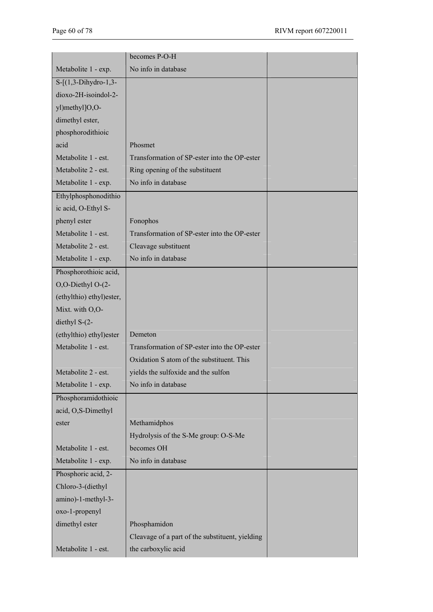|                           | becomes P-O-H                                   |  |
|---------------------------|-------------------------------------------------|--|
| Metabolite 1 - exp.       | No info in database                             |  |
| $S - [(1,3-Dihydro-1,3-$  |                                                 |  |
| dioxo-2H-isoindol-2-      |                                                 |  |
| yl)methyl]O,O-            |                                                 |  |
| dimethyl ester,           |                                                 |  |
| phosphorodithioic         |                                                 |  |
| acid                      | Phosmet                                         |  |
| Metabolite 1 - est.       | Transformation of SP-ester into the OP-ester    |  |
| Metabolite 2 - est.       | Ring opening of the substituent                 |  |
| Metabolite 1 - exp.       | No info in database                             |  |
| Ethylphosphonodithio      |                                                 |  |
| ic acid, O-Ethyl S-       |                                                 |  |
| phenyl ester              | Fonophos                                        |  |
| Metabolite 1 - est.       | Transformation of SP-ester into the OP-ester    |  |
| Metabolite 2 - est.       | Cleavage substituent                            |  |
| Metabolite 1 - exp.       | No info in database                             |  |
| Phosphorothioic acid,     |                                                 |  |
| O,O-Diethyl O-(2-         |                                                 |  |
| (ethylthio) ethyl) ester, |                                                 |  |
| Mixt. with O,O-           |                                                 |  |
| diethyl S-(2-             |                                                 |  |
| (ethylthio) ethyl) ester  | Demeton                                         |  |
| Metabolite 1 - est.       | Transformation of SP-ester into the OP-ester    |  |
|                           | Oxidation S atom of the substituent. This       |  |
| Metabolite 2 - est.       | vields the sulfoxide and the sulfon             |  |
| Metabolite 1 - exp.       | No info in database                             |  |
| Phosphoramidothioic       |                                                 |  |
| acid, O,S-Dimethyl        |                                                 |  |
| ester                     | Methamidphos                                    |  |
|                           | Hydrolysis of the S-Me group: O-S-Me            |  |
| Metabolite 1 - est.       | becomes OH                                      |  |
| Metabolite 1 - exp.       | No info in database                             |  |
| Phosphoric acid, 2-       |                                                 |  |
| Chloro-3-(diethyl         |                                                 |  |
| amino)-1-methyl-3-        |                                                 |  |
| oxo-1-propenyl            |                                                 |  |
| dimethyl ester            | Phosphamidon                                    |  |
|                           | Cleavage of a part of the substituent, yielding |  |
| Metabolite 1 - est.       |                                                 |  |
|                           | the carboxylic acid                             |  |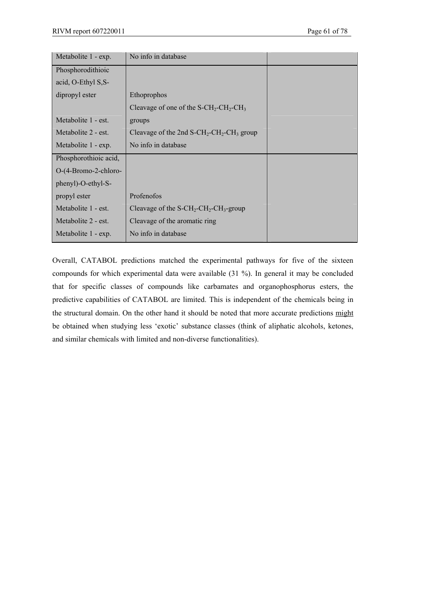| Metabolite 1 - exp.   | No info in database                                                              |  |
|-----------------------|----------------------------------------------------------------------------------|--|
| Phosphorodithioic     |                                                                                  |  |
| acid, O-Ethyl S, S-   |                                                                                  |  |
| dipropyl ester        | Ethoprophos                                                                      |  |
|                       | Cleavage of one of the $S$ -CH <sub>2</sub> -CH <sub>2</sub> -CH <sub>3</sub>    |  |
| Metabolite 1 - est.   | groups                                                                           |  |
| Metabolite 2 - est.   | Cleavage of the 2nd $S$ -CH <sub>2</sub> -CH <sub>2</sub> -CH <sub>3</sub> group |  |
| Metabolite 1 - exp.   | No info in database                                                              |  |
| Phosphorothioic acid, |                                                                                  |  |
| O-(4-Bromo-2-chloro-  |                                                                                  |  |
| phenyl)-O-ethyl-S-    |                                                                                  |  |
| propyl ester          | Profenofos                                                                       |  |
| Metabolite 1 - est.   | Cleavage of the $S$ -CH <sub>2</sub> -CH <sub>2</sub> -CH <sub>3</sub> -group    |  |
| Metabolite 2 - est.   | Cleavage of the aromatic ring                                                    |  |
| Metabolite 1 - exp.   | No info in database                                                              |  |

Overall, CATABOL predictions matched the experimental pathways for five of the sixteen compounds for which experimental data were available (31 %). In general it may be concluded that for specific classes of compounds like carbamates and organophosphorus esters, the predictive capabilities of CATABOL are limited. This is independent of the chemicals being in the structural domain. On the other hand it should be noted that more accurate predictions might be obtained when studying less 'exotic' substance classes (think of aliphatic alcohols, ketones, and similar chemicals with limited and non-diverse functionalities).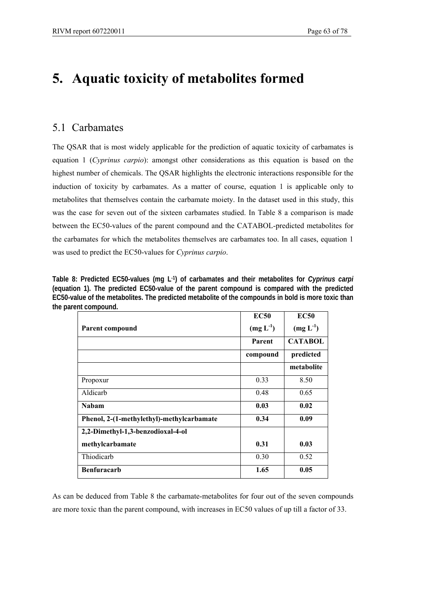# **5. Aquatic toxicity of metabolites formed**

# 5.1 Carbamates

The QSAR that is most widely applicable for the prediction of aquatic toxicity of carbamates is equation 1 (*Cyprinus carpio*): amongst other considerations as this equation is based on the highest number of chemicals. The QSAR highlights the electronic interactions responsible for the induction of toxicity by carbamates. As a matter of course, equation 1 is applicable only to metabolites that themselves contain the carbamate moiety. In the dataset used in this study, this was the case for seven out of the sixteen carbamates studied. In Table 8 a comparison is made between the EC50-values of the parent compound and the CATABOL-predicted metabolites for the carbamates for which the metabolites themselves are carbamates too. In all cases, equation 1 was used to predict the EC50-values for *Cyprinus carpio*.

**Table 8: Predicted EC50-values (mg L-1) of carbamates and their metabolites for** *Cyprinus carpi*  **(equation 1). The predicted EC50-value of the parent compound is compared with the predicted EC50-value of the metabolites. The predicted metabolite of the compounds in bold is more toxic than the parent compound.** 

|                                           | <b>EC50</b>   | <b>EC50</b>    |
|-------------------------------------------|---------------|----------------|
| Parent compound                           | $(mg L^{-1})$ | $(mg L^{-1})$  |
|                                           | Parent        | <b>CATABOL</b> |
|                                           | compound      | predicted      |
|                                           |               | metabolite     |
| Propoxur                                  | 0.33          | 8.50           |
| Aldicarb                                  | 0.48          | 0.65           |
| <b>Nabam</b>                              | 0.03          | 0.02           |
| Phenol, 2-(1-methylethyl)-methylcarbamate | 0.34          | 0.09           |
| 2,2-Dimethyl-1,3-benzodioxal-4-ol         |               |                |
| methylcarbamate                           | 0.31          | 0.03           |
| Thiodicarb                                | 0.30          | 0.52           |
| <b>Benfuracarb</b>                        | 1.65          | 0.05           |

As can be deduced from Table 8 the carbamate-metabolites for four out of the seven compounds are more toxic than the parent compound, with increases in EC50 values of up till a factor of 33.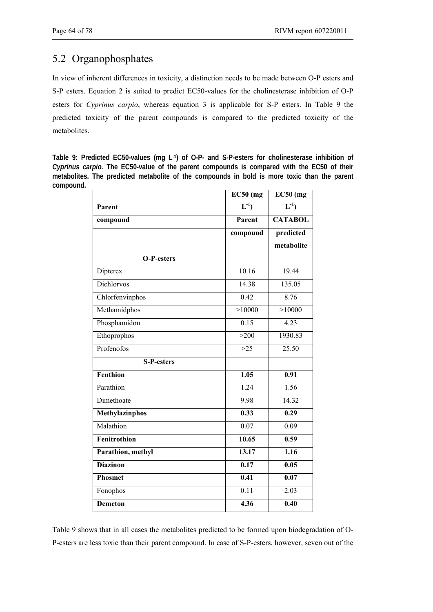# 5.2 Organophosphates

In view of inherent differences in toxicity, a distinction needs to be made between O-P esters and S-P esters. Equation 2 is suited to predict EC50-values for the cholinesterase inhibition of O-P esters for *Cyprinus carpio*, whereas equation 3 is applicable for S-P esters. In Table 9 the predicted toxicity of the parent compounds is compared to the predicted toxicity of the metabolites.

**Table 9: Predicted EC50-values (mg L-1) of O-P- and S-P-esters for cholinesterase inhibition of**  *Cyprinus carpio.* **The EC50-value of the parent compounds is compared with the EC50 of their metabolites. The predicted metabolite of the compounds in bold is more toxic than the parent compound.** 

|                       | $EC50$ (mg        | $EC50$ (mg        |
|-----------------------|-------------------|-------------------|
| Parent                | $L^{-1}$          | $L^{-1}$          |
| compound              | Parent            | <b>CATABOL</b>    |
|                       | compound          | predicted         |
|                       |                   | metabolite        |
| <b>O-P-esters</b>     |                   |                   |
| Dipterex              | 10.16             | 19.44             |
| Dichlorvos            | 14.38             | 135.05            |
| Chlorfenvinphos       | 0.42              | 8.76              |
| Methamidphos          | >10000            | >10000            |
| Phosphamidon          | 0.15              | 4.23              |
| Ethoprophos           | >200              | 1930.83           |
| Profenofos            | >25               | 25.50             |
| <b>S-P-esters</b>     |                   |                   |
| Fenthion              | 1.05              | 0.91              |
| Parathion             | 1.24              | 1.56              |
| Dimethoate            | 9.98              | 14.32             |
| <b>Methylazinphos</b> | 0.33              | 0.29              |
| Malathion             | 0.07              | 0.09              |
| Fenitrothion          | 10.65             | 0.59              |
| Parathion, methyl     | 13.17             | 1.16              |
| <b>Diazinon</b>       | 0.17              | 0.05              |
| <b>Phosmet</b>        | $\overline{0.41}$ | $\overline{0.07}$ |
| Fonophos              | 0.11              | 2.03              |
| <b>Demeton</b>        | 4.36              | $\overline{0.40}$ |

Table 9 shows that in all cases the metabolites predicted to be formed upon biodegradation of O-P-esters are less toxic than their parent compound. In case of S-P-esters, however, seven out of the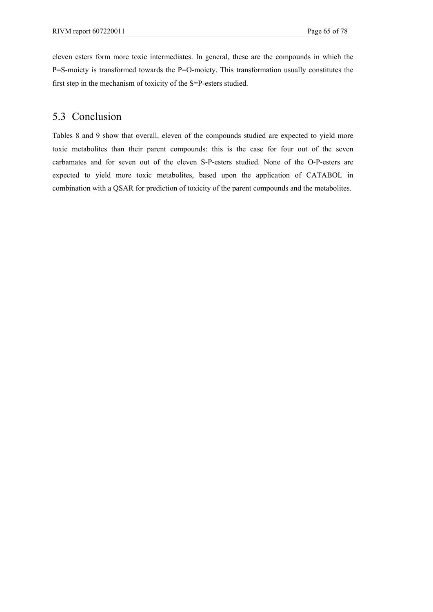eleven esters form more toxic intermediates. In general, these are the compounds in which the P=S-moiety is transformed towards the P=O-moiety. This transformation usually constitutes the first step in the mechanism of toxicity of the S=P-esters studied.

# 5.3 Conclusion

Tables 8 and 9 show that overall, eleven of the compounds studied are expected to yield more toxic metabolites than their parent compounds: this is the case for four out of the seven carbamates and for seven out of the eleven S-P-esters studied. None of the O-P-esters are expected to yield more toxic metabolites, based upon the application of CATABOL in combination with a QSAR for prediction of toxicity of the parent compounds and the metabolites.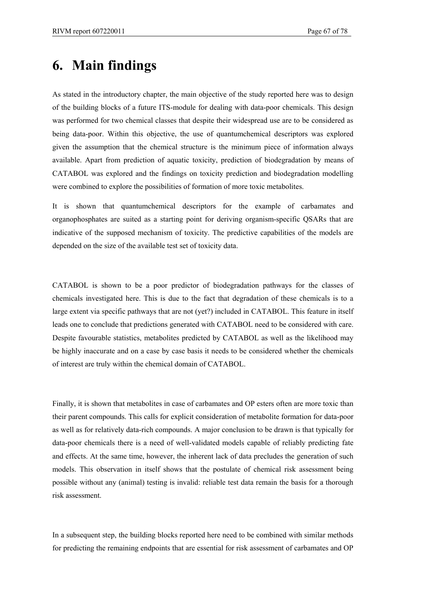# **6. Main findings**

As stated in the introductory chapter, the main objective of the study reported here was to design of the building blocks of a future ITS-module for dealing with data-poor chemicals. This design was performed for two chemical classes that despite their widespread use are to be considered as being data-poor. Within this objective, the use of quantumchemical descriptors was explored given the assumption that the chemical structure is the minimum piece of information always available. Apart from prediction of aquatic toxicity, prediction of biodegradation by means of CATABOL was explored and the findings on toxicity prediction and biodegradation modelling were combined to explore the possibilities of formation of more toxic metabolites.

It is shown that quantumchemical descriptors for the example of carbamates and organophosphates are suited as a starting point for deriving organism-specific QSARs that are indicative of the supposed mechanism of toxicity. The predictive capabilities of the models are depended on the size of the available test set of toxicity data.

CATABOL is shown to be a poor predictor of biodegradation pathways for the classes of chemicals investigated here. This is due to the fact that degradation of these chemicals is to a large extent via specific pathways that are not (yet?) included in CATABOL. This feature in itself leads one to conclude that predictions generated with CATABOL need to be considered with care. Despite favourable statistics, metabolites predicted by CATABOL as well as the likelihood may be highly inaccurate and on a case by case basis it needs to be considered whether the chemicals of interest are truly within the chemical domain of CATABOL.

Finally, it is shown that metabolites in case of carbamates and OP esters often are more toxic than their parent compounds. This calls for explicit consideration of metabolite formation for data-poor as well as for relatively data-rich compounds. A major conclusion to be drawn is that typically for data-poor chemicals there is a need of well-validated models capable of reliably predicting fate and effects. At the same time, however, the inherent lack of data precludes the generation of such models. This observation in itself shows that the postulate of chemical risk assessment being possible without any (animal) testing is invalid: reliable test data remain the basis for a thorough risk assessment.

In a subsequent step, the building blocks reported here need to be combined with similar methods for predicting the remaining endpoints that are essential for risk assessment of carbamates and OP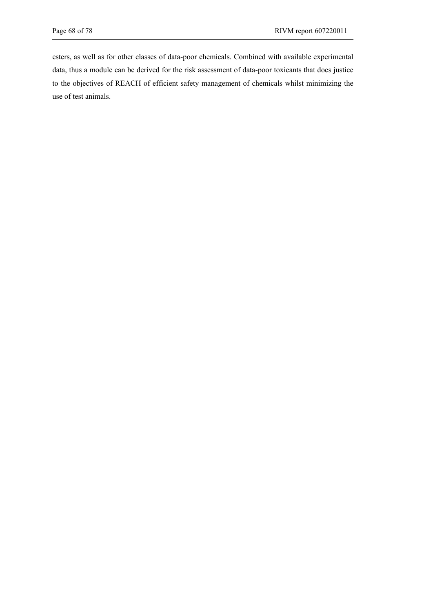esters, as well as for other classes of data-poor chemicals. Combined with available experimental data, thus a module can be derived for the risk assessment of data-poor toxicants that does justice to the objectives of REACH of efficient safety management of chemicals whilst minimizing the use of test animals.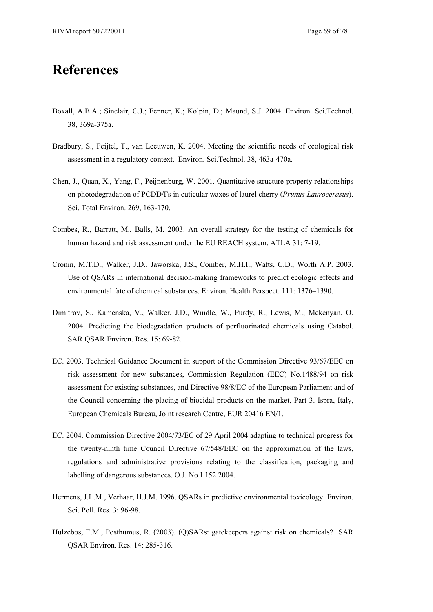# **References**

- Boxall, A.B.A.; Sinclair, C.J.; Fenner, K.; Kolpin, D.; Maund, S.J. 2004. Environ. Sci.Technol. 38, 369a-375a.
- Bradbury, S., Feijtel, T., van Leeuwen, K. 2004. Meeting the scientific needs of ecological risk assessment in a regulatory context. Environ. Sci.Technol. 38, 463a-470a.
- Chen, J., Quan, X., Yang, F., Peijnenburg, W. 2001. Quantitative structure-property relationships on photodegradation of PCDD/Fs in cuticular waxes of laurel cherry (*Prunus Laurocerasus*). Sci. Total Environ. 269, 163-170.
- Combes, R., Barratt, M., Balls, M. 2003. An overall strategy for the testing of chemicals for human hazard and risk assessment under the EU REACH system. ATLA 31: 7-19.
- Cronin, M.T.D., Walker, J.D., Jaworska, J.S., Comber, M.H.I., Watts, C.D., Worth A.P. 2003. Use of QSARs in international decision-making frameworks to predict ecologic effects and environmental fate of chemical substances. Environ. Health Perspect. 111: 1376–1390.
- Dimitrov, S., Kamenska, V., Walker, J.D., Windle, W., Purdy, R., Lewis, M., Mekenyan, O. 2004. Predicting the biodegradation products of perfluorinated chemicals using Catabol. SAR QSAR Environ. Res. 15: 69-82.
- EC. 2003. Technical Guidance Document in support of the Commission Directive 93/67/EEC on risk assessment for new substances, Commission Regulation (EEC) No.1488/94 on risk assessment for existing substances, and Directive 98/8/EC of the European Parliament and of the Council concerning the placing of biocidal products on the market, Part 3. Ispra, Italy, European Chemicals Bureau, Joint research Centre, EUR 20416 EN/1.
- EC. 2004. Commission Directive 2004/73/EC of 29 April 2004 adapting to technical progress for the twenty-ninth time Council Directive 67/548/EEC on the approximation of the laws, regulations and administrative provisions relating to the classification, packaging and labelling of dangerous substances. O.J. No L152 2004.
- Hermens, J.L.M., Verhaar, H.J.M. 1996. QSARs in predictive environmental toxicology. Environ. Sci. Poll. Res. 3: 96-98.
- Hulzebos, E.M., Posthumus, R. (2003). (Q)SARs: gatekeepers against risk on chemicals? SAR QSAR Environ. Res. 14: 285-316.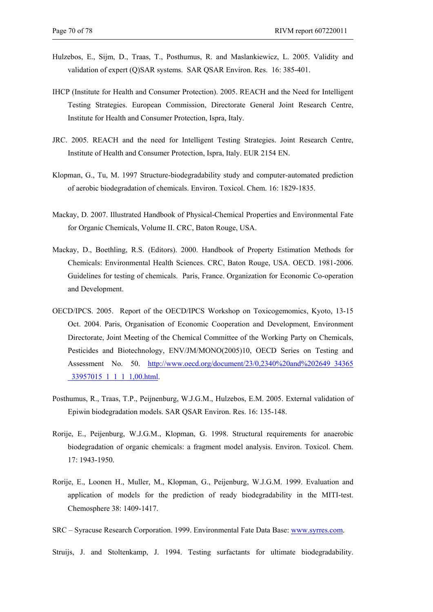- Hulzebos, E., Sijm, D., Traas, T., Posthumus, R. and Maslankiewicz, L. 2005. Validity and validation of expert (Q)SAR systems. SAR QSAR Environ. Res. 16: 385-401.
- IHCP (Institute for Health and Consumer Protection). 2005. REACH and the Need for Intelligent Testing Strategies. European Commission, Directorate General Joint Research Centre, Institute for Health and Consumer Protection, Ispra, Italy.
- JRC. 2005. REACH and the need for Intelligent Testing Strategies. Joint Research Centre, Institute of Health and Consumer Protection, Ispra, Italy. EUR 2154 EN.
- Klopman, G., Tu, M. 1997 Structure-biodegradability study and computer-automated prediction of aerobic biodegradation of chemicals. Environ. Toxicol. Chem. 16: 1829-1835.
- Mackay, D. 2007. Illustrated Handbook of Physical-Chemical Properties and Environmental Fate for Organic Chemicals, Volume II. CRC, Baton Rouge, USA.
- Mackay, D., Boethling, R.S. (Editors). 2000. Handbook of Property Estimation Methods for Chemicals: Environmental Health Sciences. CRC, Baton Rouge, USA. OECD. 1981-2006. Guidelines for testing of chemicals. Paris, France. Organization for Economic Co-operation and Development.
- OECD/IPCS. 2005. Report of the OECD/IPCS Workshop on Toxicogemomics, Kyoto, 13-15 Oct. 2004. Paris, Organisation of Economic Cooperation and Development, Environment Directorate, Joint Meeting of the Chemical Committee of the Working Party on Chemicals, Pesticides and Biotechnology, ENV/JM/MONO(2005)10, OECD Series on Testing and Assessment No. 50. http://www.oecd.org/document/23/0,2340%20and%202649\_34365 \_33957015\_1\_1\_1\_1,00.html.
- Posthumus, R., Traas, T.P., Peijnenburg, W.J.G.M., Hulzebos, E.M. 2005. External validation of Epiwin biodegradation models. SAR QSAR Environ. Res. 16: 135-148.
- Rorije, E., Peijenburg, W.J.G.M., Klopman, G. 1998. Structural requirements for anaerobic biodegradation of organic chemicals: a fragment model analysis. Environ. Toxicol. Chem. 17: 1943-1950.
- Rorije, E., Loonen H., Muller, M., Klopman, G., Peijenburg, W.J.G.M. 1999. Evaluation and application of models for the prediction of ready biodegradability in the MITI-test. Chemosphere 38: 1409-1417.

SRC – Syracuse Research Corporation. 1999. Environmental Fate Data Base: www.syrres.com.

Struijs, J. and Stoltenkamp, J. 1994. Testing surfactants for ultimate biodegradability.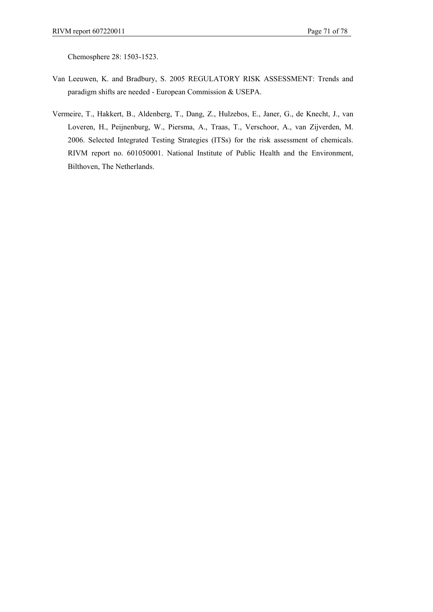Chemosphere 28: 1503-1523.

- Van Leeuwen, K. and Bradbury, S. 2005 REGULATORY RISK ASSESSMENT: Trends and paradigm shifts are needed - European Commission & USEPA.
- Vermeire, T., Hakkert, B., Aldenberg, T., Dang, Z., Hulzebos, E., Janer, G., de Knecht, J., van Loveren, H., Peijnenburg, W., Piersma, A., Traas, T., Verschoor, A., van Zijverden, M. 2006. Selected Integrated Testing Strategies (ITSs) for the risk assessment of chemicals. RIVM report no. 601050001. National Institute of Public Health and the Environment, Bilthoven, The Netherlands.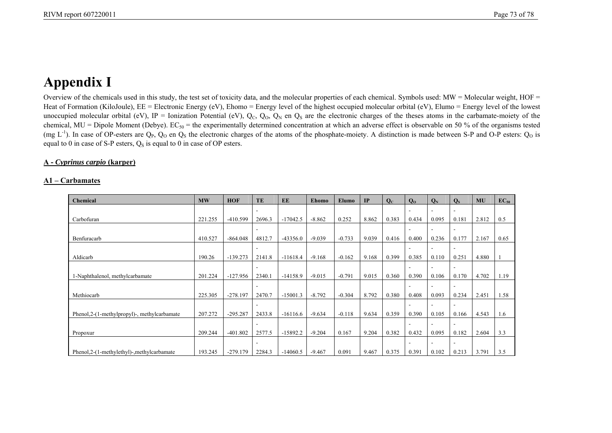# **Appendix I**

Overview of the chemicals used in this study, the test set of toxicity data, and the molecular properties of each chemical. Symbols used: MW = Molecular weight, HOF = Heat of Formation (KiloJoule), EE = Electronic Energy (eV), Ehomo = Energy level of the highest occupied molecular orbital (eV), Elumo = Energy level of the lowest unoccupied molecular orbital (eV), IP = Ionization Potential (eV),  $Q_C$ ,  $Q_O$ ,  $Q_N$  en  $Q_S$  are the electronic charges of the theses atoms in the carbamate-moiety of the chemical, MU = Dipole Moment (Debye).  $EC_{50}$  = the experimentally determined concentration at which an adverse effect is observable on 50 % of the organisms tested (mg L<sup>-1</sup>). In case of OP-esters are  $Q_P$ ,  $Q_O$  en  $Q_S$  the electronic charges of the atoms of the phosphate-moiety. A distinction is made between S-P and O-P esters:  $Q_O$  is equal to 0 in case of S-P esters,  $Q<sub>S</sub>$  is equal to 0 in case of OP esters.

## **A -** *Cyprinus carpio* **(karper)**

#### **A1 – Carbamates**

| <b>Chemical</b>                              | $\bf{MW}$ | <b>HOF</b> | TE                       | EE         | Ehomo    | Elumo    | IP    | $Q_{C}$ | Q <sub>0</sub> | $Q_N$ | $Q_{S}$ | <b>MU</b> | $EC_{50}$ |
|----------------------------------------------|-----------|------------|--------------------------|------------|----------|----------|-------|---------|----------------|-------|---------|-----------|-----------|
|                                              |           |            | ۰                        |            |          |          |       |         |                |       |         |           |           |
| Carbofuran                                   | 221.255   | $-410.599$ | 2696.3                   | $-17042.5$ | $-8.862$ | 0.252    | 8.862 | 0.383   | 0.434          | 0.095 | 0.181   | 2.812     | 0.5       |
|                                              |           |            |                          |            |          |          |       |         |                |       |         |           |           |
| Benfuracarb                                  | 410.527   | $-864.048$ | 4812.7                   | $-43356.0$ | $-9.039$ | $-0.733$ | 9.039 | 0.416   | 0.400          | 0.236 | 0.177   | 2.167     | 0.65      |
|                                              |           |            |                          |            |          |          |       |         |                |       |         |           |           |
| Aldicarb                                     | 190.26    | $-139.273$ | 2141.8                   | $-11618.4$ | $-9.168$ | $-0.162$ | 9.168 | 0.399   | 0.385          | 0.110 | 0.251   | 4.880     |           |
|                                              |           |            | ۰                        |            |          |          |       |         |                |       |         |           |           |
| 1-Naphthalenol, methylcarbamate              | 201.224   | $-127.956$ | 2340.1                   | $-14158.9$ | $-9.015$ | $-0.791$ | 9.015 | 0.360   | 0.390          | 0.106 | 0.170   | 4.702     | 1.19      |
|                                              |           |            | ۰                        |            |          |          |       |         |                |       |         |           |           |
| Methiocarb                                   | 225.305   | $-278.197$ | 2470.7                   | $-15001.3$ | $-8.792$ | $-0.304$ | 8.792 | 0.380   | 0.408          | 0.093 | 0.234   | 2.451     | 1.58      |
|                                              |           |            |                          |            |          |          |       |         |                |       |         |           |           |
| Phenol, 2-(1-methylpropyl)-, methylcarbamate | 207.272   | $-295.287$ | 2433.8                   | $-16116.6$ | $-9.634$ | $-0.118$ | 9.634 | 0.359   | 0.390          | 0.105 | 0.166   | 4.543     | 1.6       |
|                                              |           |            | $\overline{\phantom{a}}$ |            |          |          |       |         |                |       |         |           |           |
| Propoxur                                     | 209.244   | $-401.802$ | 2577.5                   | $-15892.2$ | $-9.204$ | 0.167    | 9.204 | 0.382   | 0.432          | 0.095 | 0.182   | 2.604     | 3.3       |
|                                              |           |            |                          |            |          |          |       |         |                |       |         |           |           |
| Phenol, 2-(1-methylethyl)-, methylcarbamate  | 193.245   | $-279.179$ | 2284.3                   | $-14060.5$ | $-9.467$ | 0.091    | 9.467 | 0.375   | 0.391          | 0.102 | 0.213   | 3.791     | 3.5       |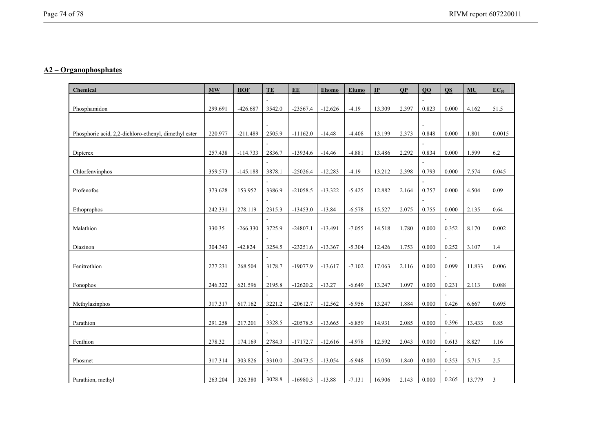### **A2 – Organophosphates**

| Chemical                                              | <b>MW</b> | <b>HOF</b> | TE             | EE         | Ehomo     | Elumo    | IP     | QP    | $\overline{00}$ | $\Omega$       | MU     | $EC_{50}$      |
|-------------------------------------------------------|-----------|------------|----------------|------------|-----------|----------|--------|-------|-----------------|----------------|--------|----------------|
|                                                       |           |            |                |            |           |          |        |       |                 |                |        |                |
| Phosphamidon                                          | 299.691   | $-426.687$ | 3542.0         | $-23567.4$ | $-12.626$ | $-4.19$  | 13.309 | 2.397 | 0.823           | 0.000          | 4.162  | 51.5           |
|                                                       |           |            | $\blacksquare$ |            |           |          |        |       |                 |                |        |                |
| Phosphoric acid, 2,2-dichloro-ethenyl, dimethyl ester | 220.977   | $-211.489$ | 2505.9         | $-11162.0$ | $-14.48$  | $-4.408$ | 13.199 | 2.373 | 0.848           | 0.000          | 1.801  | 0.0015         |
|                                                       |           |            |                |            |           |          |        |       |                 |                |        |                |
| Dipterex                                              | 257.438   | $-114.733$ | 2836.7         | $-13934.6$ | $-14.46$  | $-4.881$ | 13.486 | 2.292 | 0.834           | 0.000          | 1.599  | 6.2            |
|                                                       |           |            |                |            |           |          |        |       |                 |                |        |                |
| Chlorfenvinphos                                       | 359.573   | $-145.188$ | 3878.1         | $-25026.4$ | $-12.283$ | $-4.19$  | 13.212 | 2.398 | 0.793           | 0.000          | 7.574  | 0.045          |
|                                                       |           |            | $\overline{a}$ |            |           |          |        |       |                 |                |        |                |
| Profenofos                                            | 373.628   | 153.952    | 3386.9         | $-21058.5$ | $-13.322$ | $-5.425$ | 12.882 | 2.164 | 0.757           | 0.000          | 4.504  | 0.09           |
|                                                       |           |            |                |            |           |          |        |       |                 |                |        |                |
| Ethoprophos                                           | 242.331   | 278.119    | 2315.3         | $-13453.0$ | $-13.84$  | $-6.578$ | 15.527 | 2.075 | 0.755           | 0.000          | 2.135  | 0.64           |
|                                                       |           |            |                |            |           |          |        |       |                 |                |        |                |
| Malathion                                             | 330.35    | $-266.330$ | 3725.9         | $-24807.1$ | $-13.491$ | $-7.055$ | 14.518 | 1.780 | 0.000           | 0.352          | 8.170  | 0.002          |
|                                                       |           |            | $\overline{a}$ |            |           |          |        |       |                 | $\sim$         |        |                |
| Diazinon                                              | 304.343   | $-42.824$  | 3254.5         | $-23251.6$ | $-13.367$ | $-5.304$ | 12.426 | 1.753 | 0.000           | 0.252          | 3.107  | 1.4            |
|                                                       |           |            |                |            |           |          |        |       |                 | ÷,             |        |                |
| Fenitrothion                                          | 277.231   | 268.504    | 3178.7         | $-19077.9$ | $-13.617$ | $-7.102$ | 17.063 | 2.116 | 0.000           | 0.099          | 11.833 | 0.006          |
| Fonophos                                              | 246.322   | 621.596    | 2195.8         | $-12620.2$ | $-13.27$  | $-6.649$ | 13.247 | 1.097 | 0.000           | 0.231          | 2.113  | 0.088          |
|                                                       |           |            |                |            |           |          |        |       |                 | J.             |        |                |
| Methylazinphos                                        | 317.317   | 617.162    | 3221.2         | $-20612.7$ | $-12.562$ | $-6.956$ | 13.247 | 1.884 | 0.000           | 0.426          | 6.667  | 0.695          |
|                                                       |           |            |                |            |           |          |        |       |                 |                |        |                |
| Parathion                                             | 291.258   | 217.201    | 3328.5         | $-20578.5$ | $-13.665$ | $-6.859$ | 14.931 | 2.085 | 0.000           | 0.396          | 13.433 | 0.85           |
|                                                       |           |            |                |            |           |          |        |       |                 | $\sim$         |        |                |
| Fenthion                                              | 278.32    | 174.169    | 2784.3         | $-17172.7$ | $-12.616$ | $-4.978$ | 12.592 | 2.043 | 0.000           | 0.613          | 8.827  | 1.16           |
|                                                       |           |            |                |            |           |          |        |       |                 |                |        |                |
| Phosmet                                               | 317.314   | 303.826    | 3310.0         | $-20473.5$ | $-13.054$ | $-6.948$ | 15.050 | 1.840 | 0.000           | 0.353          | 5.715  | 2.5            |
|                                                       |           |            |                |            |           |          |        |       |                 | $\overline{a}$ |        |                |
| Parathion, methyl                                     | 263.204   | 326.380    | 3028.8         | $-16980.3$ | $-13.88$  | $-7.131$ | 16.906 | 2.143 | 0.000           | 0.265          | 13.779 | $\overline{3}$ |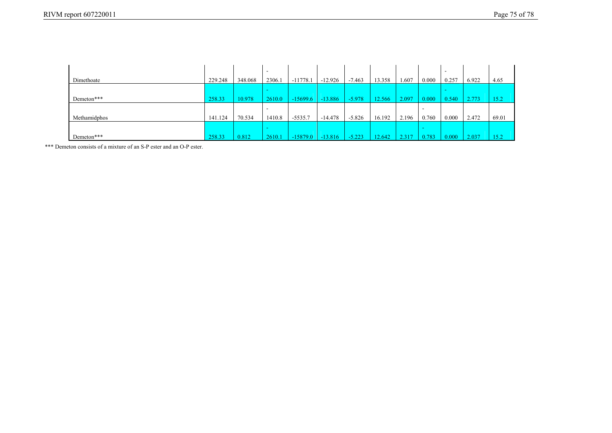|              |         |         | . .    |            |           |          |        |       |        | $\overline{\phantom{a}}$ |       |       |
|--------------|---------|---------|--------|------------|-----------|----------|--------|-------|--------|--------------------------|-------|-------|
| Dimethoate   | 229.248 | 348.068 | 2306.1 | $-11778.$  | $-12.926$ | $-7.463$ | 13.358 | 1.607 | 0.000  | 0.257                    | 6.922 | 4.65  |
|              |         |         | -      |            |           |          |        |       |        | $\sim$                   |       |       |
| Demeton***   | 258.33  | 10.978  | 2610.0 | $-15699.6$ | $-13.886$ | $-5.978$ | 12.566 | 2.097 | 0.000  | 0.540                    | 2.773 | 15.2  |
|              |         |         |        |            |           |          |        |       | . .    |                          |       |       |
| Methamidphos | 141.124 | 70.534  | 1410.8 | $-5535.7$  | $-14.478$ | $-5.826$ | 16.192 | 2.196 | 0.760  | 0.000                    | 2.472 | 69.01 |
|              |         |         | -      |            |           |          |        |       | $\sim$ |                          |       |       |
| Demeton***   | 258.33  | 0.812   | 2610.1 | $-15879.0$ | $-13.816$ | $-5.223$ | 12.642 | 2.317 | 0.783  | 0.000                    | 2.037 | 15.2  |

\*\*\* Demeton consists of a mixture of an S-P ester and an O-P ester.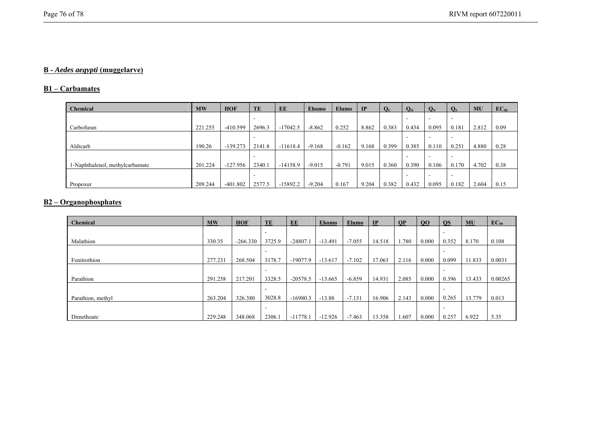# **B -** *Aedes aegypti* **(muggelarve)**

#### **B1 – Carbamates**

| <b>Chemical</b>                 | <b>MW</b> | <b>HOF</b> | TE     | EE         | Ehomo    | <b>Elumo</b> | <b>IP</b> | $Q_{C}$ | $Q_0$ | $Q_N$ | $Q_{S}$ | MU    | $EC_{50}$ |
|---------------------------------|-----------|------------|--------|------------|----------|--------------|-----------|---------|-------|-------|---------|-------|-----------|
|                                 |           |            |        |            |          |              |           |         |       |       |         |       |           |
| Carbofuran                      | 221.255   | $-410.599$ | 2696.3 | $-17042.5$ | $-8.862$ | 0.252        | 8.862     | 0.383   | 0.434 | 0.095 | 0.181   | 2.812 | 0.09      |
|                                 |           |            |        |            |          |              |           |         |       |       |         |       |           |
| Aldicarb                        | 190.26    | $-139.273$ | 2141.8 | $-11618.4$ | $-9.168$ | $-0.162$     | 9.168     | 0.399   | 0.385 | 0.110 | 0.251   | 4.880 | 0.28      |
|                                 |           |            |        |            |          |              |           |         |       |       |         |       |           |
| 1-Naphthalenol, methylcarbamate | 201.224   | $-127.956$ | 2340.1 | $-14158.9$ | $-9.015$ | $-0.791$     | 9.015     | 0.360   | 0.390 | 0.106 | 0.170   | 4.702 | 0.38      |
|                                 |           |            |        |            |          |              |           |         |       |       |         |       |           |
| Propoxur                        | 209.244   | $-401.802$ | 2577.5 | $-15892.2$ | $-9.204$ | 0.167        | 9.204     | 0.382   | 0.432 | 0.095 | 0.182   | 2.604 | 0.15      |

# **B2 – Organophosphates**

| Chemical          | <b>MW</b> | <b>HOF</b> | TE     | EE         | <b>Ehomo</b> | Elumo    | IP     | <b>OP</b> | 00    | <b>OS</b> | MU     | $EC_{50}$ |
|-------------------|-----------|------------|--------|------------|--------------|----------|--------|-----------|-------|-----------|--------|-----------|
|                   |           |            |        |            |              |          |        |           |       |           |        |           |
| Malathion         | 330.35    | $-266.330$ | 3725.9 | $-24807.1$ | $-13.491$    | $-7.055$ | 14.518 | .780      | 0.000 | 0.352     | 8.170  | 0.108     |
|                   |           |            |        |            |              |          |        |           |       |           |        |           |
| Fenitrothion      | 277.231   | 268.504    | 3178.7 | $-19077.9$ | $-13.617$    | $-7.102$ | 17.063 | 2.116     | 0.000 | 0.099     | 11.833 | 0.0031    |
|                   |           |            |        |            |              |          |        |           |       |           |        |           |
| Parathion         | 291.258   | 217.201    | 3328.5 | $-20578.5$ | $-13.665$    | $-6.859$ | 14.931 | 2.085     | 0.000 | 0.396     | 13.433 | 0.00265   |
|                   |           |            |        |            |              |          |        |           |       |           |        |           |
| Parathion, methyl | 263.204   | 326.380    | 3028.8 | $-16980.3$ | $-13.88$     | $-7.131$ | 16.906 | 2.143     | 0.000 | 0.265     | 13.779 | 0.013     |
|                   |           |            | ۰      |            |              |          |        |           |       |           |        |           |
| Dimethoate        | 229.248   | 348.068    | 2306.1 | $-11778.1$ | $-12.926$    | $-7.463$ | 13.358 | 607       | 0.000 | 0.257     | 6.922  | 5.35      |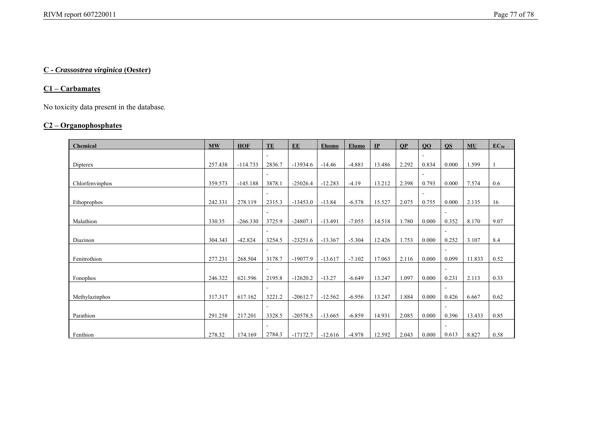# **C -** *Crassostrea virginica* **(Oester)**

# **C1 – Carbamates**

No toxicity data present in the database.

# **C2 – Organophosphates**

| Chemical        | $\mathbf{M}\mathbf{W}$ | <b>HOF</b> | TE                       | EE         | <b>Ehomo</b> | Elumo    | IP     | <b>OP</b> | 00                       | <b>OS</b>      | <b>MU</b> | $EC_{50}$ |
|-----------------|------------------------|------------|--------------------------|------------|--------------|----------|--------|-----------|--------------------------|----------------|-----------|-----------|
|                 |                        |            |                          |            |              |          |        |           | $\overline{\phantom{a}}$ |                |           |           |
| Dipterex        | 257.438                | $-114.733$ | 2836.7                   | $-13934.6$ | $-14.46$     | $-4.881$ | 13.486 | 2.292     | 0.834                    | 0.000          | 1.599     |           |
|                 |                        |            |                          |            |              |          |        |           | $\overline{\phantom{a}}$ |                |           |           |
| Chlorfenvinphos | 359.573                | $-145.188$ | 3878.1                   | $-25026.4$ | $-12.283$    | $-4.19$  | 13.212 | 2.398     | 0.793                    | 0.000          | 7.574     | 0.6       |
|                 |                        |            | $\overline{\phantom{a}}$ |            |              |          |        |           | $\overline{\phantom{a}}$ |                |           |           |
| Ethoprophos     | 242.331                | 278.119    | 2315.3                   | $-13453.0$ | $-13.84$     | $-6.578$ | 15.527 | 2.075     | 0.755                    | 0.000          | 2.135     | 16        |
|                 |                        |            | $\blacksquare$           |            |              |          |        |           |                          | $\overline{a}$ |           |           |
| Malathion       | 330.35                 | $-266.330$ | 3725.9                   | $-24807.1$ | $-13.491$    | $-7.055$ | 14.518 | 1.780     | 0.000                    | 0.352          | 8.170     | 9.07      |
|                 |                        |            |                          |            |              |          |        |           |                          | $\overline{a}$ |           |           |
| Diazinon        | 304.343                | $-42.824$  | 3254.5                   | $-23251.6$ | $-13.367$    | $-5.304$ | 12.426 | 1.753     | 0.000                    | 0.252          | 3.107     | 8.4       |
|                 |                        |            |                          |            |              |          |        |           |                          | $\overline{a}$ |           |           |
| Fenitrothion    | 277.231                | 268.504    | 3178.7                   | $-19077.9$ | $-13.617$    | $-7.102$ | 17.063 | 2.116     | 0.000                    | 0.099          | 11.833    | 0.52      |
|                 |                        |            | $\blacksquare$           |            |              |          |        |           |                          | ä,             |           |           |
| Fonophos        | 246.322                | 621.596    | 2195.8                   | $-12620.2$ | $-13.27$     | $-6.649$ | 13.247 | 1.097     | 0.000                    | 0.231          | 2.113     | 0.33      |
|                 |                        |            | $\blacksquare$           |            |              |          |        |           |                          | ä,             |           |           |
| Methylazinphos  | 317.317                | 617.162    | 3221.2                   | $-20612.7$ | $-12.562$    | $-6.956$ | 13.247 | 1.884     | 0.000                    | 0.426          | 6.667     | 0.62      |
|                 |                        |            |                          |            |              |          |        |           |                          | $\overline{a}$ |           |           |
| Parathion       | 291.258                | 217.201    | 3328.5                   | $-20578.5$ | $-13.665$    | $-6.859$ | 14.931 | 2.085     | 0.000                    | 0.396          | 13.433    | 0.85      |
|                 |                        |            | $\overline{\phantom{a}}$ |            |              |          |        |           |                          | $\overline{a}$ |           |           |
| Fenthion        | 278.32                 | 174.169    | 2784.3                   | $-17172.7$ | $-12.616$    | $-4.978$ | 12.592 | 2.043     | 0.000                    | 0.613          | 8.827     | 0.58      |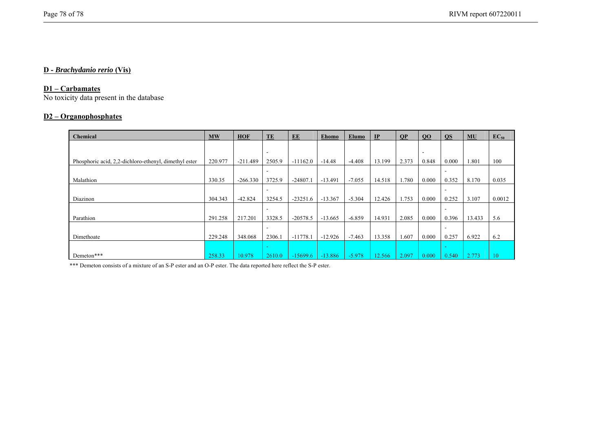## **D -** *Brachydanio rerio* **(Vis)**

#### **D1 – Carbamates**

No toxicity data present in the database

### **D2 – Organophosphates**

| Chemical                                              | <b>MW</b> | <b>HOF</b> | TE                       | EE         | <b>Ehomo</b> | <b>Elumo</b> | IP     | <b>OP</b> | QO                       | <b>OS</b>                | <b>MU</b> | $EC_{50}$ |
|-------------------------------------------------------|-----------|------------|--------------------------|------------|--------------|--------------|--------|-----------|--------------------------|--------------------------|-----------|-----------|
|                                                       |           |            |                          |            |              |              |        |           |                          |                          |           |           |
|                                                       |           |            | $\overline{\phantom{a}}$ |            |              |              |        |           | $\overline{\phantom{a}}$ |                          |           |           |
| Phosphoric acid, 2.2-dichloro-ethenyl, dimethyl ester | 220.977   | $-211.489$ | 2505.9                   | $-11162.0$ | $-14.48$     | $-4.408$     | 13.199 | 2.373     | 0.848                    | 0.000                    | 1.801     | 100       |
|                                                       |           |            | ۰                        |            |              |              |        |           |                          |                          |           |           |
| Malathion                                             | 330.35    | $-266.330$ | 3725.9                   | $-24807.1$ | $-13.491$    | $-7.055$     | 14.518 | 1.780     | 0.000                    | 0.352                    | 8.170     | 0.035     |
|                                                       |           |            |                          |            |              |              |        |           |                          |                          |           |           |
| Diazinon                                              | 304.343   | $-42.824$  | 3254.5                   | $-23251.6$ | $-13.367$    | $-5.304$     | 12.426 | 1.753     | 0.000                    | 0.252                    | 3.107     | 0.0012    |
|                                                       |           |            |                          |            |              |              |        |           |                          |                          |           |           |
| Parathion                                             | 291.258   | 217.201    | 3328.5                   | $-20578.5$ | $-13.665$    | $-6.859$     | 14.931 | 2.085     | 0.000                    | 0.396                    | 13.433    | 5.6       |
|                                                       |           |            | -                        |            |              |              |        |           |                          |                          |           |           |
| Dimethoate                                            | 229.248   | 348.068    | 2306.1                   | $-11778.1$ | $-12.926$    | $-7.463$     | 13.358 | .607      | 0.000                    | 0.257                    | 6.922     | 6.2       |
|                                                       |           |            | $\sim$                   |            |              |              |        |           |                          | $\overline{\phantom{a}}$ |           |           |
| Demeton***                                            | 258.33    | 10.978     | 2610.0                   | $-15699.6$ | $-13.886$    | $-5.978$     | 12.566 | 2.097     | 0.000                    | 0.540                    | 2.773     | 10        |

\*\*\* Demeton consists of a mixture of an S-P ester and an O-P ester. The data reported here reflect the S-P ester.